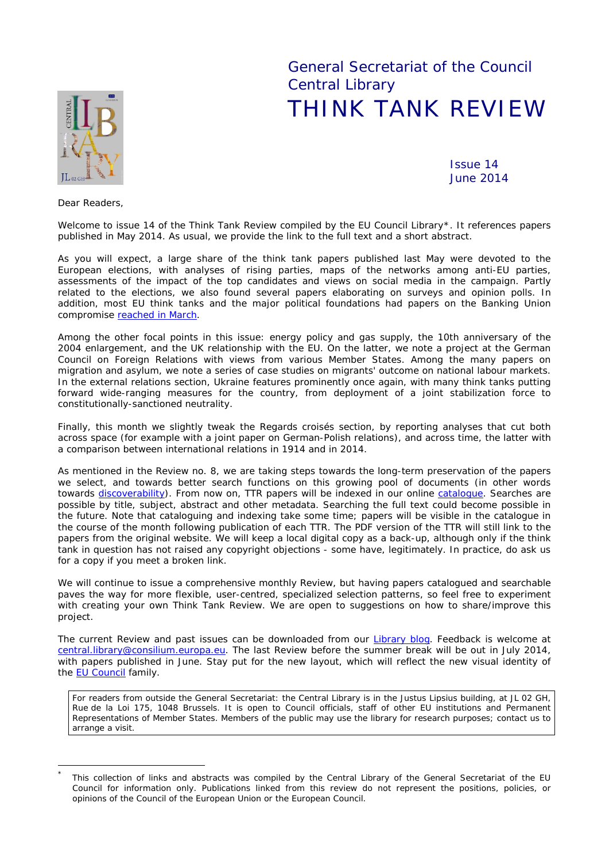# General Secretariat of the Council Central Library THINK TANK REVIEW



Issue 14 June 2014

*Dear Readers,*

*Welcome to issue 14 of the Think Tank Review compiled by the EU Council Library\*. It references papers published in [May](#page-0-0) 2014. As usual, we provide the link to the full text and a short abstract.*

*As you will expect, a large share of the think tank papers published last May were devoted to the European elections, with analyses of rising parties, maps of the networks among anti-EU parties, assessments of the impact of the top candidates and views on social media in the campaign. Partly related to the elections, we also found several papers elaborating on surveys and opinion polls. In addition, most EU think tanks and the major political foundations had papers on the Banking Union compromise [reached in March.](http://www.consilium.europa.eu/homepage/showfocus?lang=ga&focusID=103706)*

*Among the other focal points in this issue: energy policy and gas supply, the 10th anniversary of the 2004 enlargement, and the UK relationship with the EU. On the latter, we note a project at the German Council on Foreign Relations with views from various Member States. Among the many papers on migration and asylum, we note a series of case studies on migrants' outcome on national labour markets.* In the external relations section, Ukraine features prominently once again, with many think tanks putting *forward wide-ranging measures for the country, from deployment of a joint stabilization force to constitutionally-sanctioned neutrality.*

*Finally, this month we slightly tweak the* Regards croisés *section, by reporting analyses that cut both across space (for example with a joint paper on German-Polish relations), and across time, the latter with a comparison between international relations in 1914 and in 2014.*

*As mentioned in the Review no. 8, we are taking steps towards the long-term preservation of the papers we select, and towards better search functions on this growing pool of documents (in other words towards [discoverability\)](http://www.sagepub.com/repository/binaries/librarian/DiscoverabilityWhitePaper/). From now on, TTR papers will be indexed in our online [catalogue.](http://ec.europa.eu/eclas/F/?func=find-a-0&local_base=TTR) Searches are possible by title, subject, abstract and other metadata. Searching the full text could become possible in the future. Note that cataloguing and indexing take some time; papers will be visible in the catalogue in the course of the month following publication of each TTR. The PDF version of the TTR will still link to the papers from the original website. We will keep a local digital copy as a back-up, although only if the think tank in question has not raised any copyright objections - some have, legitimately. In practice, do ask us for a copy if you meet a broken link.*

We will continue to issue a comprehensive monthly Review, but having papers catalogued and searchable *paves the way for more flexible, user-centred, specialized selection patterns, so feel free to experiment with creating your own Think Tank Review. We are open to suggestions on how to share/improve this project.*

*The current Review and past issues can be downloaded from our [Library blog.](http://www.councillibrary.wordpress.com/) Feedback is welcome at [central.library@consilium.europa.eu.](mailto:central.library@consilium.europa.eu) The last Review before the summer break will be out in July 2014, with papers published in June. Stay put for the new layout, which will reflect the new visual identity of the [EU Council](http://www.consilium.europa.eu/uedocs/cms_data/docs/pressdata/en/misc/143075.pdf) family.*

For readers from outside the General Secretariat: the Central Library is in the Justus Lipsius building, at JL 02 GH, Rue de la Loi 175, 1048 Brussels. It is open to Council officials, staff of other EU institutions and Permanent Representations of Member States. Members of the public may use the library for research purposes; contact us to arrange a visit.

<span id="page-0-0"></span>This collection of links and abstracts was compiled by the Central Library of the General Secretariat of the EU Council for information only. Publications linked from this review do not represent the positions, policies, or opinions of the Council of the European Union or the European Council.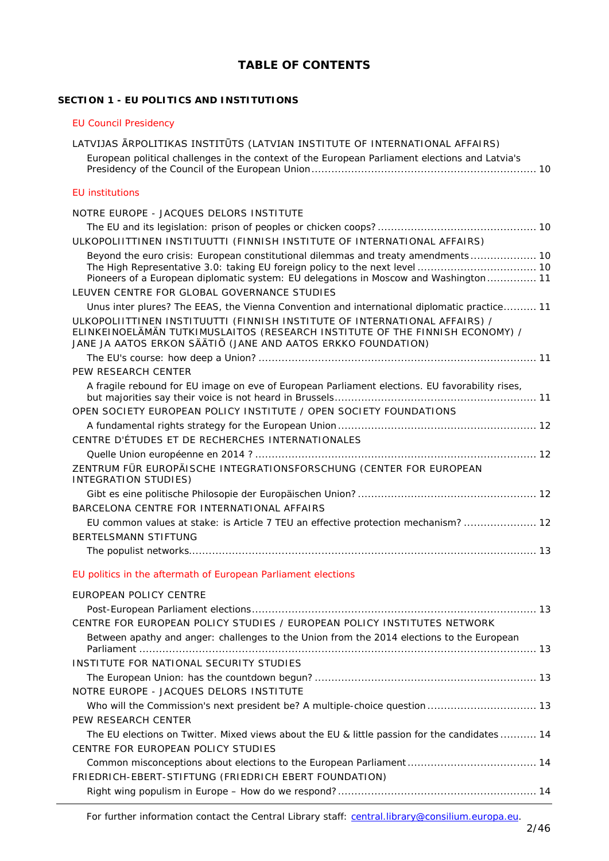# **TABLE OF CONTENTS**

# **SECTION 1 - [EU POLITICS AND INSTITUTIONS](#page-9-0)**

| <b>EU Council Presidency</b>                                                                                                                                                                                               |
|----------------------------------------------------------------------------------------------------------------------------------------------------------------------------------------------------------------------------|
| LATVIJAS ĀRPOLITIKAS INSTITŪTS (LATVIAN INSTITUTE OF INTERNATIONAL AFFAIRS)                                                                                                                                                |
| European political challenges in the context of the European Parliament elections and Latvia's                                                                                                                             |
| <b>EU</b> institutions                                                                                                                                                                                                     |
| NOTRE EUROPE - JACQUES DELORS INSTITUTE                                                                                                                                                                                    |
|                                                                                                                                                                                                                            |
| ULKOPOLIITTINEN INSTITUUTTI (FINNISH INSTITUTE OF INTERNATIONAL AFFAIRS)                                                                                                                                                   |
| Beyond the euro crisis: European constitutional dilemmas and treaty amendments 10<br>Pioneers of a European diplomatic system: EU delegations in Moscow and Washington 11<br>LEUVEN CENTRE FOR GLOBAL GOVERNANCE STUDIES   |
| Unus inter plures? The EEAS, the Vienna Convention and international diplomatic practice 11                                                                                                                                |
| ULKOPOLIITTINEN INSTITUUTTI (FINNISH INSTITUTE OF INTERNATIONAL AFFAIRS) /<br>ELINKEINOELÄMÄN TUTKIMUSLAITOS (RESEARCH INSTITUTE OF THE FINNISH ECONOMY) /<br>JANE JA AATOS ERKON SÄÄTIÖ (JANE AND AATOS ERKKO FOUNDATION) |
|                                                                                                                                                                                                                            |
| PEW RESEARCH CENTER                                                                                                                                                                                                        |
| A fragile rebound for EU image on eve of European Parliament elections. EU favorability rises,                                                                                                                             |
| OPEN SOCIETY EUROPEAN POLICY INSTITUTE / OPEN SOCIETY FOUNDATIONS                                                                                                                                                          |
|                                                                                                                                                                                                                            |
| CENTRE D'ÉTUDES ET DE RECHERCHES INTERNATIONALES                                                                                                                                                                           |
|                                                                                                                                                                                                                            |
| ZENTRUM FÜR EUROPÄISCHE INTEGRATIONSFORSCHUNG (CENTER FOR EUROPEAN<br>INTEGRATION STUDIES)                                                                                                                                 |
|                                                                                                                                                                                                                            |
| BARCELONA CENTRE FOR INTERNATIONAL AFFAIRS                                                                                                                                                                                 |
| EU common values at stake: is Article 7 TEU an effective protection mechanism?  12<br>BERTELSMANN STIFTUNG                                                                                                                 |
|                                                                                                                                                                                                                            |
| EU politics in the aftermath of European Parliament elections                                                                                                                                                              |
| EUROPEAN POLICY CENTRE                                                                                                                                                                                                     |
|                                                                                                                                                                                                                            |
| CENTRE FOR EUROPEAN POLICY STUDIES / EUROPEAN POLICY INSTITUTES NETWORK                                                                                                                                                    |
| Between apathy and anger: challenges to the Union from the 2014 elections to the European                                                                                                                                  |
| INSTITUTE FOR NATIONAL SECURITY STUDIES                                                                                                                                                                                    |
|                                                                                                                                                                                                                            |
| NOTRE EUROPE - JACQUES DELORS INSTITUTE                                                                                                                                                                                    |
| Who will the Commission's next president be? A multiple-choice question  13                                                                                                                                                |
| PEW RESEARCH CENTER                                                                                                                                                                                                        |
| The EU elections on Twitter. Mixed views about the EU & little passion for the candidates  14<br>CENTRE FOR EUROPEAN POLICY STUDIES                                                                                        |
| FRIEDRICH-EBERT-STIFTUNG (FRIEDRICH EBERT FOUNDATION)                                                                                                                                                                      |
|                                                                                                                                                                                                                            |

For further information contact the Central Library staff: central.library@consilium.europa.eu.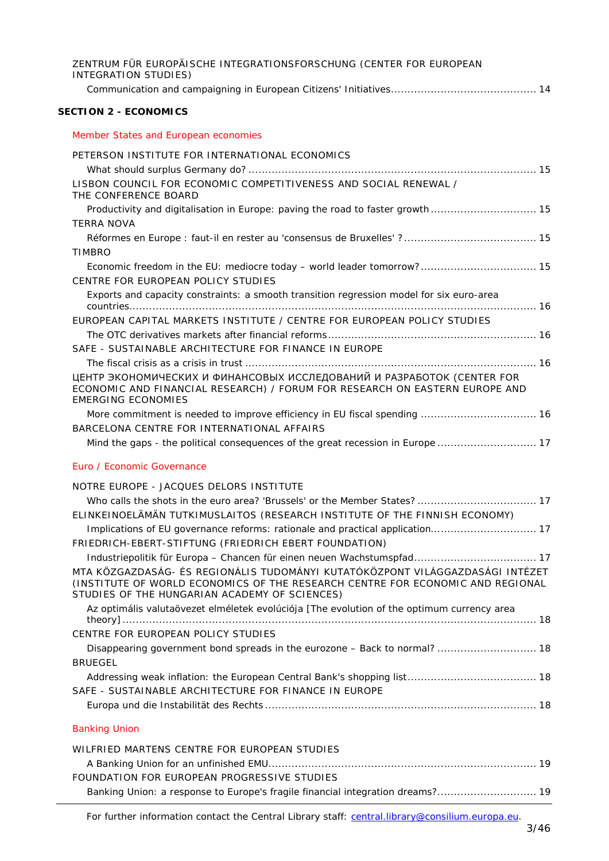| ZENTRUM FÜR EUROPÄISCHE INTEGRATIONSFORSCHUNG (CENTER FOR EUROPEAN<br><b>INTEGRATION STUDIES)</b>                                                                                                                |  |
|------------------------------------------------------------------------------------------------------------------------------------------------------------------------------------------------------------------|--|
|                                                                                                                                                                                                                  |  |
| <b>SECTION 2 - ECONOMICS</b>                                                                                                                                                                                     |  |
| Member States and European economies                                                                                                                                                                             |  |
| PETERSON INSTITUTE FOR INTERNATIONAL ECONOMICS                                                                                                                                                                   |  |
|                                                                                                                                                                                                                  |  |
| LISBON COUNCIL FOR ECONOMIC COMPETITIVENESS AND SOCIAL RENEWAL /<br>THE CONFERENCE BOARD                                                                                                                         |  |
| Productivity and digitalisation in Europe: paving the road to faster growth 15                                                                                                                                   |  |
| <b>TERRA NOVA</b>                                                                                                                                                                                                |  |
|                                                                                                                                                                                                                  |  |
| <b>TIMBRO</b>                                                                                                                                                                                                    |  |
| Economic freedom in the EU: mediocre today - world leader tomorrow? 15<br>CENTRE FOR EUROPEAN POLICY STUDIES                                                                                                     |  |
| Exports and capacity constraints: a smooth transition regression model for six euro-area                                                                                                                         |  |
|                                                                                                                                                                                                                  |  |
| EUROPEAN CAPITAL MARKETS INSTITUTE / CENTRE FOR EUROPEAN POLICY STUDIES                                                                                                                                          |  |
|                                                                                                                                                                                                                  |  |
| SAFE - SUSTAINABLE ARCHITECTURE FOR FINANCE IN EUROPE                                                                                                                                                            |  |
|                                                                                                                                                                                                                  |  |
| ЦЕНТР ЭКОНОМИЧЕСКИХ И ФИНАНСОВЫХ ИССЛЕДОВАНИЙ И РАЗРАБОТОК (CENTER FOR<br>ECONOMIC AND FINANCIAL RESEARCH) / FORUM FOR RESEARCH ON EASTERN EUROPE AND<br><b>EMERGING ECONOMIES</b>                               |  |
| More commitment is needed to improve efficiency in EU fiscal spending  16                                                                                                                                        |  |
| BARCELONA CENTRE FOR INTERNATIONAL AFFAIRS                                                                                                                                                                       |  |
| Mind the gaps - the political consequences of the great recession in Europe  17                                                                                                                                  |  |
| Euro / Economic Governance                                                                                                                                                                                       |  |
| NOTRE EUROPE - JACQUES DELORS INSTITUTE                                                                                                                                                                          |  |
| Who calls the shots in the euro area? 'Brussels' or the Member States?  17                                                                                                                                       |  |
| ELINKEINOELÄMÄN TUTKIMUSLAITOS (RESEARCH INSTITUTE OF THE FINNISH ECONOMY)                                                                                                                                       |  |
| Implications of EU governance reforms: rationale and practical application 17                                                                                                                                    |  |
| FRIEDRICH-EBERT-STIFTUNG (FRIEDRICH EBERT FOUNDATION)                                                                                                                                                            |  |
| Industriepolitik für Europa - Chancen für einen neuen Wachstumspfad 17                                                                                                                                           |  |
| MTA KÖZGAZDASÁG- ÉS REGIONÁLIS TUDOMÁNYI KUTATÓKÖZPONT VILÁGGAZDASÁGI INTÉZET<br>(INSTITUTE OF WORLD ECONOMICS OF THE RESEARCH CENTRE FOR ECONOMIC AND REGIONAL<br>STUDIES OF THE HUNGARIAN ACADEMY OF SCIENCES) |  |
| Az optimális valutaövezet elméletek evolúciója [The evolution of the optimum currency area                                                                                                                       |  |
| CENTRE FOR EUROPEAN POLICY STUDIES                                                                                                                                                                               |  |
| Disappearing government bond spreads in the eurozone - Back to normal? 18<br><b>BRUEGEL</b>                                                                                                                      |  |
|                                                                                                                                                                                                                  |  |
| SAFE - SUSTAINABLE ARCHITECTURE FOR FINANCE IN EUROPE                                                                                                                                                            |  |
|                                                                                                                                                                                                                  |  |
| <b>Banking Union</b>                                                                                                                                                                                             |  |
| WILFRIED MARTENS CENTRE FOR EUROPEAN STUDIES                                                                                                                                                                     |  |
|                                                                                                                                                                                                                  |  |
| FOUNDATION FOR EUROPEAN PROGRESSIVE STUDIES                                                                                                                                                                      |  |
| Banking Union: a response to Europe's fragile financial integration dreams? 19                                                                                                                                   |  |

For further information contact the Central Library staff: central.library@consilium.europa.eu.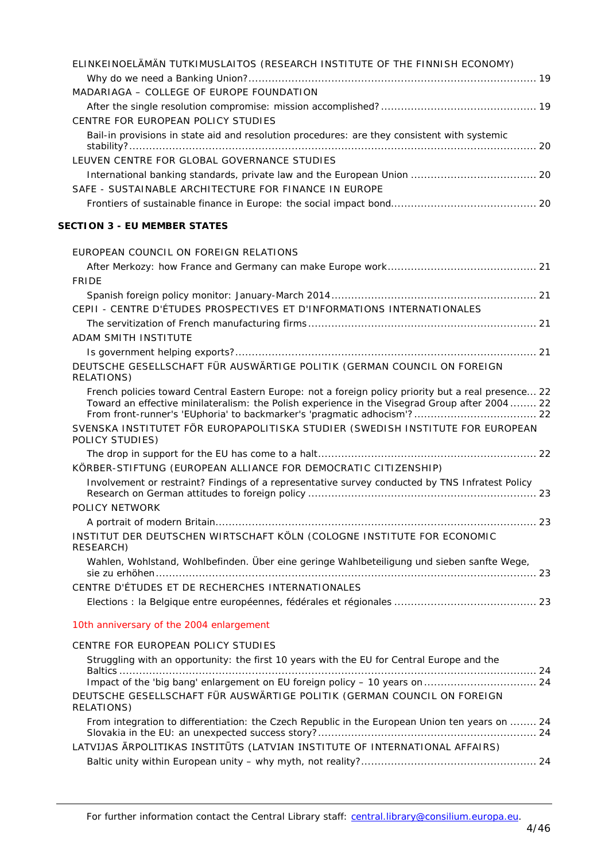| ELINKEINOELÄMÄN TUTKIMUSLAITOS (RESEARCH INSTITUTE OF THE FINNISH ECONOMY)                                                                                                                           |  |
|------------------------------------------------------------------------------------------------------------------------------------------------------------------------------------------------------|--|
|                                                                                                                                                                                                      |  |
| MADARIAGA - COLLEGE OF EUROPE FOUNDATION                                                                                                                                                             |  |
|                                                                                                                                                                                                      |  |
| CENTRE FOR EUROPEAN POLICY STUDIES                                                                                                                                                                   |  |
| Bail-in provisions in state aid and resolution procedures: are they consistent with systemic                                                                                                         |  |
|                                                                                                                                                                                                      |  |
| LEUVEN CENTRE FOR GLOBAL GOVERNANCE STUDIES                                                                                                                                                          |  |
|                                                                                                                                                                                                      |  |
| SAFE - SUSTAINABLE ARCHITECTURE FOR FINANCE IN EUROPE                                                                                                                                                |  |
|                                                                                                                                                                                                      |  |
| <b>SECTION 3 - EU MEMBER STATES</b>                                                                                                                                                                  |  |
| EUROPEAN COUNCIL ON FOREIGN RELATIONS                                                                                                                                                                |  |
|                                                                                                                                                                                                      |  |
| <b>FRIDE</b>                                                                                                                                                                                         |  |
|                                                                                                                                                                                                      |  |
| CEPII - CENTRE D'ÉTUDES PROSPECTIVES ET D'INFORMATIONS INTERNATIONALES                                                                                                                               |  |
|                                                                                                                                                                                                      |  |
| ADAM SMITH INSTITUTE                                                                                                                                                                                 |  |
|                                                                                                                                                                                                      |  |
| DEUTSCHE GESELLSCHAFT FÜR AUSWÄRTIGE POLITIK (GERMAN COUNCIL ON FOREIGN<br>RELATIONS)                                                                                                                |  |
| French policies toward Central Eastern Europe: not a foreign policy priority but a real presence 22<br>Toward an effective minilateralism: the Polish experience in the Visegrad Group after 2004 22 |  |
| SVENSKA INSTITUTET FÖR EUROPAPOLITISKA STUDIER (SWEDISH INSTITUTE FOR EUROPEAN<br>POLICY STUDIES)                                                                                                    |  |
|                                                                                                                                                                                                      |  |
| KÖRBER-STIFTUNG (EUROPEAN ALLIANCE FOR DEMOCRATIC CITIZENSHIP)                                                                                                                                       |  |
| Involvement or restraint? Findings of a representative survey conducted by TNS Infratest Policy                                                                                                      |  |
| POLICY NETWORK                                                                                                                                                                                       |  |
|                                                                                                                                                                                                      |  |
| INSTITUT DER DEUTSCHEN WIRTSCHAFT KÖLN (COLOGNE INSTITUTE FOR ECONOMIC<br>RESEARCH)                                                                                                                  |  |
| Wahlen, Wohlstand, Wohlbefinden. Über eine geringe Wahlbeteiligung und sieben sanfte Wege,                                                                                                           |  |
| CENTRE D'ÉTUDES ET DE RECHERCHES INTERNATIONALES                                                                                                                                                     |  |
|                                                                                                                                                                                                      |  |
| 10th anniversary of the 2004 enlargement                                                                                                                                                             |  |
| CENTRE FOR EUROPEAN POLICY STUDIES                                                                                                                                                                   |  |
| Struggling with an opportunity: the first 10 years with the EU for Central Europe and the                                                                                                            |  |
|                                                                                                                                                                                                      |  |
|                                                                                                                                                                                                      |  |
| DEUTSCHE GESELLSCHAFT FÜR AUSWÄRTIGE POLITIK (GERMAN COUNCIL ON FOREIGN<br>RELATIONS)                                                                                                                |  |
| From integration to differentiation: the Czech Republic in the European Union ten years on  24                                                                                                       |  |
| LATVIJAS ĀRPOLITIKAS INSTITŪTS (LATVIAN INSTITUTE OF INTERNATIONAL AFFAIRS)                                                                                                                          |  |
|                                                                                                                                                                                                      |  |
|                                                                                                                                                                                                      |  |
|                                                                                                                                                                                                      |  |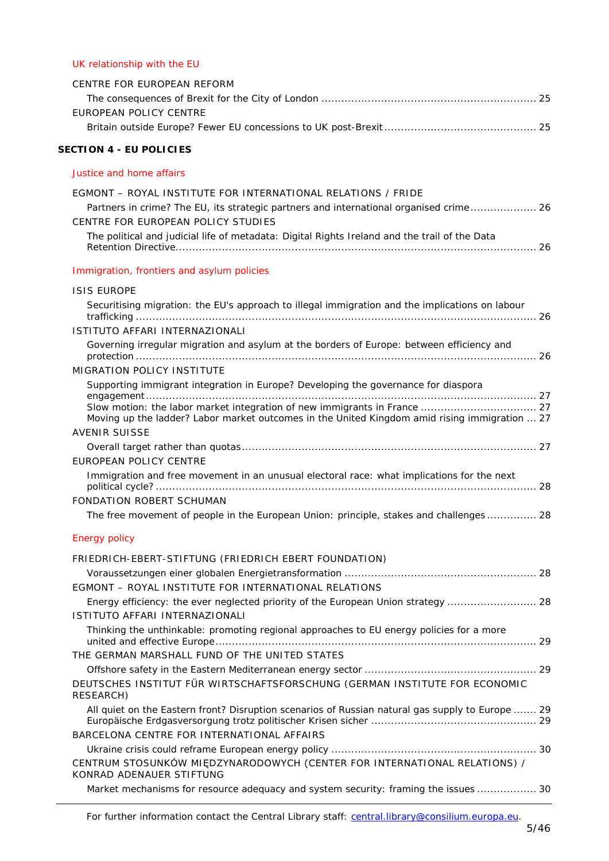# [UK relationship with the EU](#page-24-0)

| CENTRE FOR EUROPEAN REFORM                                                                                         |  |
|--------------------------------------------------------------------------------------------------------------------|--|
| EUROPEAN POLICY CENTRE                                                                                             |  |
|                                                                                                                    |  |
| <b>SECTION 4 - EU POLICIES</b>                                                                                     |  |
| Justice and home affairs                                                                                           |  |
| EGMONT – ROYAL INSTITUTE FOR INTERNATIONAL RELATIONS / FRIDE                                                       |  |
| Partners in crime? The EU, its strategic partners and international organised crime 26                             |  |
| CENTRE FOR EUROPEAN POLICY STUDIES                                                                                 |  |
| The political and judicial life of metadata: Digital Rights Ireland and the trail of the Data                      |  |
| Immigration, frontiers and asylum policies                                                                         |  |
| <b>ISIS EUROPE</b>                                                                                                 |  |
| Securitising migration: the EU's approach to illegal immigration and the implications on labour                    |  |
|                                                                                                                    |  |
| ISTITUTO AFFARI INTERNAZIONALI                                                                                     |  |
| Governing irregular migration and asylum at the borders of Europe: between efficiency and                          |  |
| <b>MIGRATION POLICY INSTITUTE</b>                                                                                  |  |
| Supporting immigrant integration in Europe? Developing the governance for diaspora                                 |  |
|                                                                                                                    |  |
| Moving up the ladder? Labor market outcomes in the United Kingdom amid rising immigration  27                      |  |
| <b>AVENIR SUISSE</b>                                                                                               |  |
| <b>EUROPEAN POLICY CENTRE</b>                                                                                      |  |
| Immigration and free movement in an unusual electoral race: what implications for the next                         |  |
|                                                                                                                    |  |
| FONDATION ROBERT SCHUMAN<br>The free movement of people in the European Union: principle, stakes and challenges 28 |  |
|                                                                                                                    |  |
| <b>Energy policy</b>                                                                                               |  |
| FRIEDRICH-EBERT-STIFTUNG (FRIEDRICH EBERT FOUNDATION)                                                              |  |
| EGMONT - ROYAL INSTITUTE FOR INTERNATIONAL RELATIONS                                                               |  |
| Energy efficiency: the ever neglected priority of the European Union strategy  28                                  |  |
| ISTITUTO AFFARI INTERNAZIONALI                                                                                     |  |
| Thinking the unthinkable: promoting regional approaches to EU energy policies for a more                           |  |
|                                                                                                                    |  |
| THE GERMAN MARSHALL FUND OF THE UNITED STATES                                                                      |  |
|                                                                                                                    |  |
| DEUTSCHES INSTITUT FÜR WIRTSCHAFTSFORSCHUNG (GERMAN INSTITUTE FOR ECONOMIC<br>RESEARCH)                            |  |
| All quiet on the Eastern front? Disruption scenarios of Russian natural gas supply to Europe  29                   |  |
| BARCELONA CENTRE FOR INTERNATIONAL AFFAIRS                                                                         |  |
|                                                                                                                    |  |
| CENTRUM STOSUNKÓW MIĘDZYNARODOWYCH (CENTER FOR INTERNATIONAL RELATIONS) /<br>KONRAD ADENAUER STIFTUNG              |  |
| Market mechanisms for resource adequacy and system security: framing the issues  30                                |  |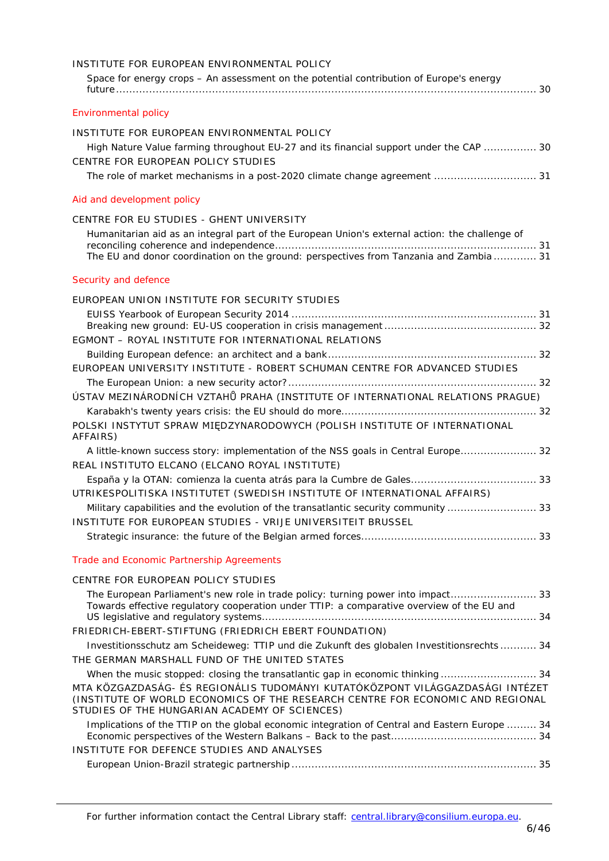| INSTITUTE FOR EUROPEAN ENVIRONMENTAL POLICY<br>Space for energy crops - An assessment on the potential contribution of Europe's energy                                                                                                                                                                                                                                                                                                                                                                                                                                                                                                                                                                                                   |
|------------------------------------------------------------------------------------------------------------------------------------------------------------------------------------------------------------------------------------------------------------------------------------------------------------------------------------------------------------------------------------------------------------------------------------------------------------------------------------------------------------------------------------------------------------------------------------------------------------------------------------------------------------------------------------------------------------------------------------------|
| <b>Environmental policy</b>                                                                                                                                                                                                                                                                                                                                                                                                                                                                                                                                                                                                                                                                                                              |
| INSTITUTE FOR EUROPEAN ENVIRONMENTAL POLICY<br>High Nature Value farming throughout EU-27 and its financial support under the CAP  30<br>CENTRE FOR EUROPEAN POLICY STUDIES<br>The role of market mechanisms in a post-2020 climate change agreement  31                                                                                                                                                                                                                                                                                                                                                                                                                                                                                 |
| Aid and development policy                                                                                                                                                                                                                                                                                                                                                                                                                                                                                                                                                                                                                                                                                                               |
| CENTRE FOR EU STUDIES - GHENT UNIVERSITY<br>Humanitarian aid as an integral part of the European Union's external action: the challenge of<br>The EU and donor coordination on the ground: perspectives from Tanzania and Zambia  31                                                                                                                                                                                                                                                                                                                                                                                                                                                                                                     |
| Security and defence                                                                                                                                                                                                                                                                                                                                                                                                                                                                                                                                                                                                                                                                                                                     |
| EUROPEAN UNION INSTITUTE FOR SECURITY STUDIES<br>EGMONT - ROYAL INSTITUTE FOR INTERNATIONAL RELATIONS<br>EUROPEAN UNIVERSITY INSTITUTE - ROBERT SCHUMAN CENTRE FOR ADVANCED STUDIES<br>ÚSTAV MEZINÁRODNÍCH VZTAHŮ PRAHA (INSTITUTE OF INTERNATIONAL RELATIONS PRAGUE)<br>POLSKI INSTYTUT SPRAW MIĘDZYNARODOWYCH (POLISH INSTITUTE OF INTERNATIONAL<br>AFFAIRS)<br>A little-known success story: implementation of the NSS goals in Central Europe 32<br>REAL INSTITUTO ELCANO (ELCANO ROYAL INSTITUTE)<br>UTRIKESPOLITISKA INSTITUTET (SWEDISH INSTITUTE OF INTERNATIONAL AFFAIRS)<br>Military capabilities and the evolution of the transatlantic security community  33<br>INSTITUTE FOR EUROPEAN STUDIES - VRIJE UNIVERSITEIT BRUSSEL |
| Trade and Economic Partnership Agreements                                                                                                                                                                                                                                                                                                                                                                                                                                                                                                                                                                                                                                                                                                |
| CENTRE FOR EUROPEAN POLICY STUDIES                                                                                                                                                                                                                                                                                                                                                                                                                                                                                                                                                                                                                                                                                                       |
| The European Parliament's new role in trade policy: turning power into impact 33<br>Towards effective regulatory cooperation under TTIP: a comparative overview of the EU and<br>FRIEDRICH-EBERT-STIFTUNG (FRIEDRICH EBERT FOUNDATION)<br>Investitionsschutz am Scheideweg: TTIP und die Zukunft des globalen Investitionsrechts  34                                                                                                                                                                                                                                                                                                                                                                                                     |
| THE GERMAN MARSHALL FUND OF THE UNITED STATES                                                                                                                                                                                                                                                                                                                                                                                                                                                                                                                                                                                                                                                                                            |
| MTA KÖZGAZDASÁG- ÉS REGIONÁLIS TUDOMÁNYI KUTATÓKÖZPONT VILÁGGAZDASÁGI INTÉZET<br>(INSTITUTE OF WORLD ECONOMICS OF THE RESEARCH CENTRE FOR ECONOMIC AND REGIONAL<br>STUDIES OF THE HUNGARIAN ACADEMY OF SCIENCES)                                                                                                                                                                                                                                                                                                                                                                                                                                                                                                                         |
| Implications of the TTIP on the global economic integration of Central and Eastern Europe  34<br>INSTITUTE FOR DEFENCE STUDIES AND ANALYSES                                                                                                                                                                                                                                                                                                                                                                                                                                                                                                                                                                                              |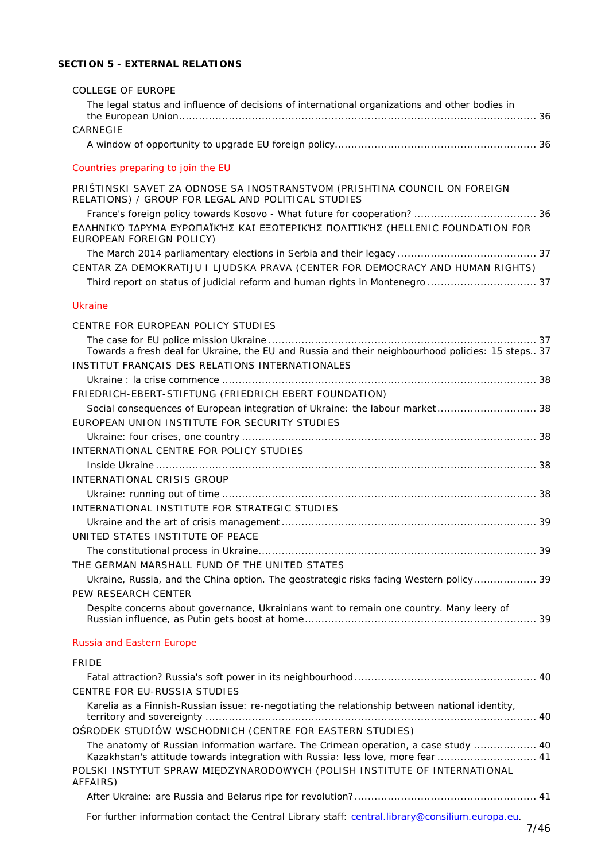# **SECTION 5 - [EXTERNAL RELATIONS](#page-35-0)**

| <b>COLLEGE OF EUROPE</b>                                                                                                                                  |  |
|-----------------------------------------------------------------------------------------------------------------------------------------------------------|--|
| The legal status and influence of decisions of international organizations and other bodies in                                                            |  |
| CARNEGIE                                                                                                                                                  |  |
|                                                                                                                                                           |  |
| Countries preparing to join the EU                                                                                                                        |  |
| PRIŠTINSKI SAVET ZA ODNOSE SA INOSTRANSTVOM (PRISHTINA COUNCIL ON FOREIGN<br>RELATIONS) / GROUP FOR LEGAL AND POLITICAL STUDIES                           |  |
| ΕΛΛΗΝΙΚΌ ΊΔΡΥΜΑ ΕΥΡΩΠΑΪΚΉΣ ΚΑΙ ΕΞΩΤΕΡΙΚΉΣ ΠΟΛΙΤΙΚΉΣ (HELLENIC FOUNDATION FOR<br>EUROPEAN FOREIGN POLICY)                                                  |  |
|                                                                                                                                                           |  |
| CENTAR ZA DEMOKRATIJU I LJUDSKA PRAVA (CENTER FOR DEMOCRACY AND HUMAN RIGHTS)                                                                             |  |
| Third report on status of judicial reform and human rights in Montenegro  37                                                                              |  |
| <b>Ukraine</b>                                                                                                                                            |  |
| CENTRE FOR EUROPEAN POLICY STUDIES                                                                                                                        |  |
| Towards a fresh deal for Ukraine, the EU and Russia and their neighbourhood policies: 15 steps 37<br>INSTITUT FRANÇAIS DES RELATIONS INTERNATIONALES      |  |
|                                                                                                                                                           |  |
| FRIEDRICH-EBERT-STIFTUNG (FRIEDRICH EBERT FOUNDATION)                                                                                                     |  |
| Social consequences of European integration of Ukraine: the labour market 38                                                                              |  |
| EUROPEAN UNION INSTITUTE FOR SECURITY STUDIES                                                                                                             |  |
|                                                                                                                                                           |  |
| INTERNATIONAL CENTRE FOR POLICY STUDIES                                                                                                                   |  |
|                                                                                                                                                           |  |
| INTERNATIONAL CRISIS GROUP                                                                                                                                |  |
|                                                                                                                                                           |  |
| INTERNATIONAL INSTITUTE FOR STRATEGIC STUDIES                                                                                                             |  |
|                                                                                                                                                           |  |
| UNITED STATES INSTITUTE OF PEACE                                                                                                                          |  |
|                                                                                                                                                           |  |
| THE GERMAN MARSHALL FUND OF THE UNITED STATES                                                                                                             |  |
| Ukraine, Russia, and the China option. The geostrategic risks facing Western policy 39                                                                    |  |
| PEW RESEARCH CENTER                                                                                                                                       |  |
| Despite concerns about governance, Ukrainians want to remain one country. Many leery of                                                                   |  |
| Russia and Eastern Europe                                                                                                                                 |  |
| <b>FRIDE</b>                                                                                                                                              |  |
|                                                                                                                                                           |  |
| <b>CENTRE FOR EU-RUSSIA STUDIES</b>                                                                                                                       |  |
| Karelia as a Finnish-Russian issue: re-negotiating the relationship between national identity,<br>OSRODEK STUDIÓW WSCHODNICH (CENTRE FOR EASTERN STUDIES) |  |
| The anatomy of Russian information warfare. The Crimean operation, a case study  40                                                                       |  |
| Kazakhstan's attitude towards integration with Russia: less love, more fear  41                                                                           |  |
| POLSKI INSTYTUT SPRAW MIĘDZYNARODOWYCH (POLISH INSTITUTE OF INTERNATIONAL<br>AFFAIRS)                                                                     |  |
|                                                                                                                                                           |  |

For further information contact the Central Library staff: central.library@consilium.europa.eu.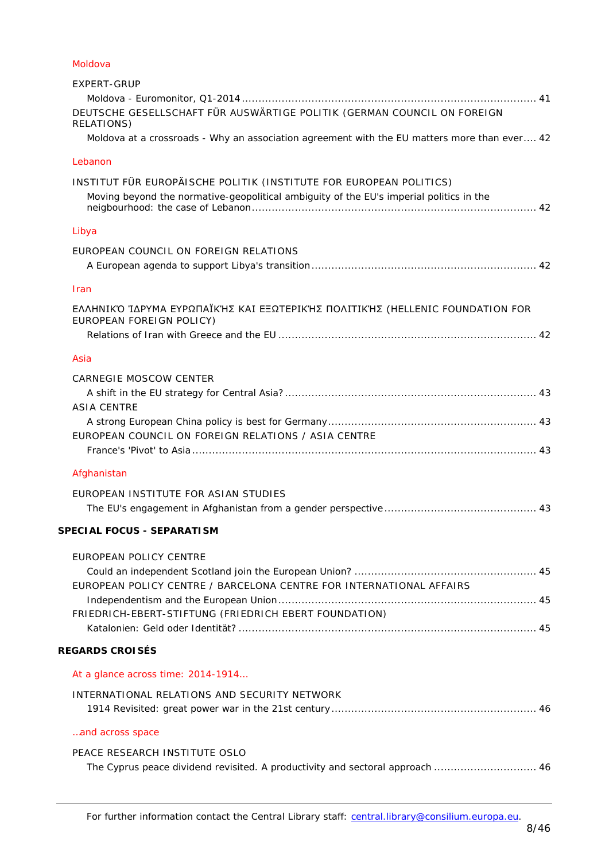# [Moldova](#page-40-3)

| EXPERT-GRUP                                                                                              |
|----------------------------------------------------------------------------------------------------------|
|                                                                                                          |
| DEUTSCHE GESELLSCHAFT FÜR AUSWÄRTIGE POLITIK (GERMAN COUNCIL ON FOREIGN<br>RELATIONS)                    |
| Moldova at a crossroads - Why an association agreement with the EU matters more than ever 42             |
| Lebanon                                                                                                  |
| INSTITUT FÜR EUROPÄISCHE POLITIK (INSTITUTE FOR EUROPEAN POLITICS)                                       |
| Moving beyond the normative-geopolitical ambiguity of the EU's imperial politics in the                  |
| Libya                                                                                                    |
| EUROPEAN COUNCIL ON FOREIGN RELATIONS                                                                    |
|                                                                                                          |
| <b>Iran</b>                                                                                              |
| ΕΛΛΗΝΙΚΌ ΊΔΡΥΜΑ ΕΥΡΩΠΑΪΚΉΣ ΚΑΙ ΕΞΩΤΕΡΙΚΉΣ ΠΟΛΙΤΙΚΉΣ (HELLENIC FOUNDATION FOR<br>EUROPEAN FOREIGN POLICY) |
|                                                                                                          |
| Asia                                                                                                     |
| CARNEGIE MOSCOW CENTER                                                                                   |
|                                                                                                          |
| <b>ASIA CENTRE</b>                                                                                       |
| EUROPEAN COUNCIL ON FOREIGN RELATIONS / ASIA CENTRE                                                      |
|                                                                                                          |
| Afghanistan                                                                                              |
|                                                                                                          |
| EUROPEAN INSTITUTE FOR ASIAN STUDIES                                                                     |
| <b>SPECIAL FOCUS - SEPARATISM</b>                                                                        |
|                                                                                                          |
| EUROPEAN POLICY CENTRE                                                                                   |
| EUROPEAN POLICY CENTRE / BARCELONA CENTRE FOR INTERNATIONAL AFFAIRS                                      |
|                                                                                                          |
| FRIEDRICH-EBERT-STIFTUNG (FRIEDRICH EBERT FOUNDATION)                                                    |
|                                                                                                          |
| <b>REGARDS CROISÉS</b>                                                                                   |
| At a glance across time: 2014-1914                                                                       |
| INTERNATIONAL RELATIONS AND SECURITY NETWORK                                                             |
| and across space                                                                                         |
| PEACE RESEARCH INSTITUTE OSLO                                                                            |
| The Cyprus peace dividend revisited. A productivity and sectoral approach  46                            |
|                                                                                                          |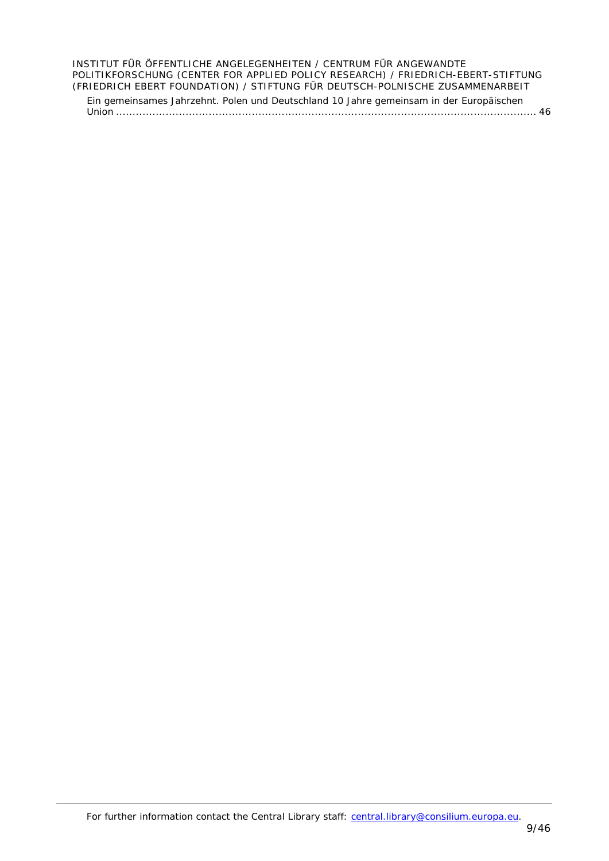### [INSTITUT FÜR ÖFFENTLICHE ANGELEGENHEITEN](#page-45-7) / CENTRUM FÜR ANGEWANDTE [POLITIKFORSCHUNG \(CENTER FOR APPLIED POLICY RESEARCH\) /](#page-45-7) FRIEDRICH-EBERT-STIFTUNG [\(FRIEDRICH EBERT FOUNDATION\) / STIFTUNG FÜR DEUTSCH-POLNISCHE ZUSAMMENARBEIT](#page-45-7)

[Ein gemeinsames Jahrzehnt. Polen und Deutschland 10 Jahre gemeinsam in der Europäischen](#page-45-8)  Union [...............................................................................................................................](#page-45-8) 46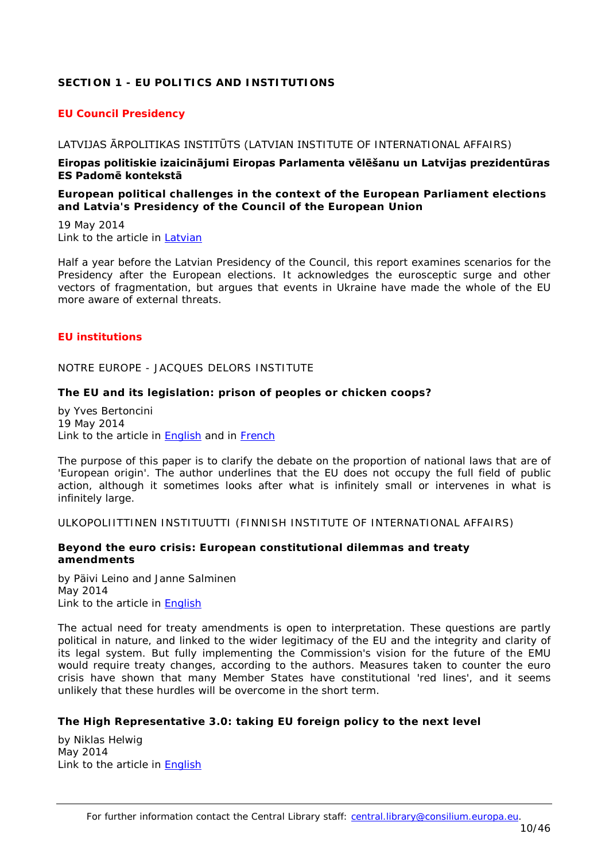# <span id="page-9-0"></span>**SECTION 1 - EU POLITICS AND INSTITUTIONS**

# <span id="page-9-1"></span>*EU Council Presidency*

### <span id="page-9-2"></span>LATVIJAS ĀRPOLITIKAS INSTITŪTS (LATVIAN INSTITUTE OF INTERNATIONAL AFFAIRS)

#### **Eiropas politiskie izaicinājumi Eiropas Parlamenta vēlēšanu un Latvijas prezidentūras ES Padomē kontekstā**

#### <span id="page-9-3"></span>*European political challenges in the context of the European Parliament elections and Latvia's Presidency of the Council of the European Union*

19 May 2014 Link to the article in [Latvian](http://liia.lv/site/docs/LAI_3_zinojums_AM_final3.3.pdf)

Half a year before the Latvian Presidency of the Council, this report examines scenarios for the Presidency after the European elections. It acknowledges the eurosceptic surge and other vectors of fragmentation, but argues that events in Ukraine have made the whole of the EU more aware of external threats.

### <span id="page-9-4"></span>*EU institutions*

<span id="page-9-5"></span>NOTRE EUROPE - JACQUES DELORS INSTITUTE

### <span id="page-9-6"></span>**The EU and its legislation: prison of peoples or chicken coops?**

by Yves Bertoncini 19 May 2014 Link to the article in [English](http://www.notre-europe.eu/media/euandlegislation-bertoncini-ne-jdi-may14.pdf?pdf=ok) and in [French](http://www.notre-europe.eu/media/ueetnormes-bertoncini-ne-ijd-mai14.pdf?pdf=ok)

The purpose of this paper is to clarify the debate on the proportion of national laws that are of 'European origin'. The author underlines that the EU does not occupy the full field of public action, although it sometimes looks after what is infinitely small or intervenes in what is infinitely large.

<span id="page-9-7"></span>ULKOPOLIITTINEN INSTITUUTTI (FINNISH INSTITUTE OF INTERNATIONAL AFFAIRS)

### <span id="page-9-8"></span>**Beyond the euro crisis: European constitutional dilemmas and treaty amendments**

by Päivi Leino and Janne Salminen May 2014 Link to the article in [English](http://www.fiia.fi/assets/publications/bp154.pdf)

The actual need for treaty amendments is open to interpretation. These questions are partly political in nature, and linked to the wider legitimacy of the EU and the integrity and clarity of its legal system. But fully implementing the Commission's vision for the future of the EMU would require treaty changes, according to the authors. Measures taken to counter the euro crisis have shown that many Member States have constitutional 'red lines', and it seems unlikely that these hurdles will be overcome in the short term.

### <span id="page-9-9"></span>**The High Representative 3.0: taking EU foreign policy to the next level**

by Niklas Helwig May 2014 Link to the article in [English](http://www.fiia.fi/assets/publications/bp155.pdf)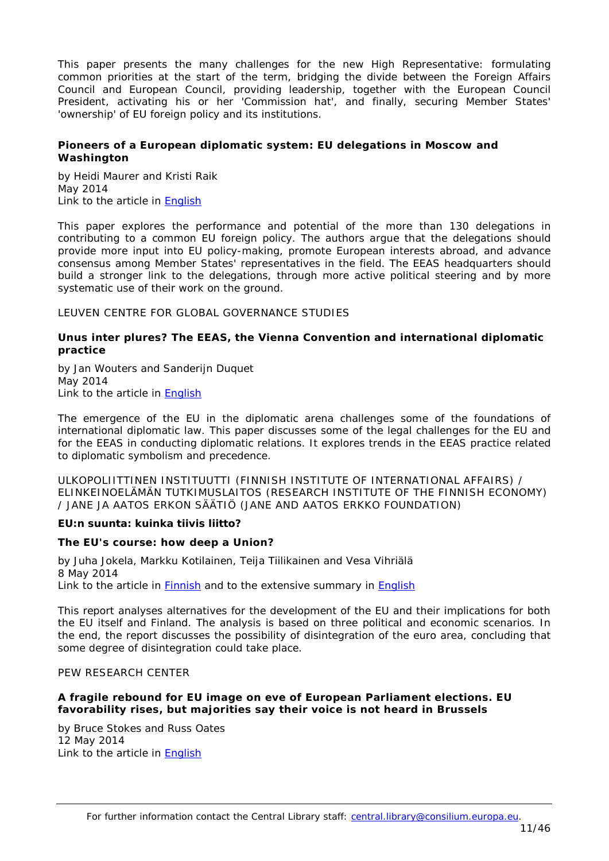This paper presents the many challenges for the new High Representative: formulating common priorities at the start of the term, bridging the divide between the Foreign Affairs Council and European Council, providing leadership, together with the European Council President, activating his or her 'Commission hat', and finally, securing Member States' 'ownership' of EU foreign policy and its institutions.

### <span id="page-10-0"></span>**Pioneers of a European diplomatic system: EU delegations in Moscow and Washington**

by Heidi Maurer and Kristi Raik May 2014 Link to the article in [English](http://www.fiia.fi/assets/publications/FIIA_Analysis_1.pdf)

This paper explores the performance and potential of the more than 130 delegations in contributing to a common EU foreign policy. The authors argue that the delegations should provide more input into EU policy-making, promote European interests abroad, and advance consensus among Member States' representatives in the field. The EEAS headquarters should build a stronger link to the delegations, through more active political steering and by more systematic use of their work on the ground.

# <span id="page-10-1"></span>LEUVEN CENTRE FOR GLOBAL GOVERNANCE STUDIES

### <span id="page-10-2"></span>*Unus inter plures?* **The EEAS, the Vienna Convention and international diplomatic practice**

by Jan Wouters and Sanderijn Duquet May 2014 Link to the article in [English](http://ghum.kuleuven.be/ggs/publications/working_papers/new_series/wp131-140/wp139-duquet-wouters.pdf)

The emergence of the EU in the diplomatic arena challenges some of the foundations of international diplomatic law. This paper discusses some of the legal challenges for the EU and for the EEAS in conducting diplomatic relations. It explores trends in the EEAS practice related to diplomatic symbolism and precedence.

<span id="page-10-3"></span>ULKOPOLIITTINEN INSTITUUTTI (FINNISH INSTITUTE OF INTERNATIONAL AFFAIRS) / ELINKEINOELÄMÄN TUTKIMUSLAITOS (RESEARCH INSTITUTE OF THE FINNISH ECONOMY) / JANE JA AATOS ERKON SÄÄTIÖ (JANE AND AATOS ERKKO FOUNDATION)

### **EU:n suunta: kuinka tiivis liitto?**

### <span id="page-10-4"></span>*The EU's course: how deep a Union?*

by Juha Jokela, Markku Kotilainen, Teija Tiilikainen and Vesa Vihriälä 8 May 2014 Link to the article in [Finnish](http://www.fiia.fi/assets/publications/FIIA_Report_39.pdf) and to the extensive summary in [English](http://www.fiia.fi/assets/The_EU)

This report analyses alternatives for the development of the EU and their implications for both the EU itself and Finland. The analysis is based on three political and economic scenarios. In the end, the report discusses the possibility of disintegration of the euro area, concluding that some degree of disintegration could take place.

# <span id="page-10-5"></span>PEW RESEARCH CENTER

# <span id="page-10-6"></span>**A fragile rebound for EU image on eve of European Parliament elections. EU favorability rises, but majorities say their voice is not heard in Brussels**

by Bruce Stokes and Russ Oates 12 May 2014 Link to the article in **English**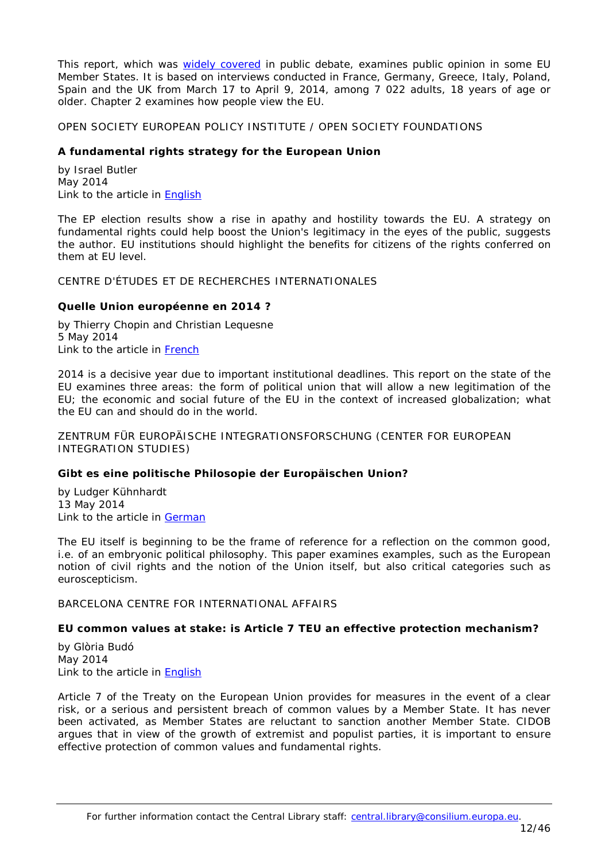This report, which was [widely covered](https://www.google.be/webhp?sourceid=chrome-instant&ion=1&espv=2&ie=UTF-8#q=pew+research+A+fragile+rebound+for+EU+image&start=10) in public debate, examines public opinion in some EU Member States. It is based on interviews conducted in France, Germany, Greece, Italy, Poland, Spain and the UK from March 17 to April 9, 2014, among 7 022 adults, 18 years of age or older. Chapter 2 examines how people view the EU.

<span id="page-11-0"></span>OPEN SOCIETY EUROPEAN POLICY INSTITUTE / OPEN SOCIETY FOUNDATIONS

# <span id="page-11-1"></span>**A fundamental rights strategy for the European Union**

by Israel Butler May 2014 Link to the article in [English](http://www.opensocietyfoundations.org/sites/default/files/fundamental-rights-EU-20140530_0.pdf)

The EP election results show a rise in apathy and hostility towards the EU. A strategy on fundamental rights could help boost the Union's legitimacy in the eyes of the public, suggests the author. EU institutions should highlight the benefits for citizens of the rights conferred on them at EU level.

<span id="page-11-2"></span>CENTRE D'ÉTUDES ET DE RECHERCHES INTERNATIONALES

# <span id="page-11-3"></span>**Quelle Union européenne en 2014 ?**

by Thierry Chopin and Christian Lequesne 5 May 2014 Link to the article in [French](http://www.sciencespo.fr/ceri/sites/sciencespo.fr.ceri/files/CERICAPS.pdf)

2014 is a decisive year due to important institutional deadlines. This report on the state of the EU examines three areas: the form of political union that will allow a new legitimation of the EU; the economic and social future of the EU in the context of increased globalization; what the EU can and should do in the world.

<span id="page-11-4"></span>ZENTRUM FÜR EUROPÄISCHE INTEGRATIONSFORSCHUNG (CENTER FOR EUROPEAN INTEGRATION STUDIES)

# <span id="page-11-5"></span>**Gibt es eine politische Philosopie der Europäischen Union?**

by Ludger Kühnhardt 13 May 2014 Link to the article in [German](http://www.zei.uni-bonn.de/dateien/discussion-paper/dp_c223_Kuehnhardt.pdf)

The EU itself is beginning to be the frame of reference for a reflection on the common good, i.e. of an embryonic political philosophy. This paper examines examples, such as the European notion of civil rights and the notion of the Union itself, but also critical categories such as euroscepticism.

<span id="page-11-6"></span>BARCELONA CENTRE FOR INTERNATIONAL AFFAIRS

# <span id="page-11-7"></span>**EU common values at stake: is Article 7 TEU an effective protection mechanism?**

by Glòria Budó May 2014 Link to the article in [English](http://www.cidob.org/en/content/download/39293/606547/file/DOCUMENTS+CIDOB_01_EUROPA%281%29.pdf)

Article 7 of the Treaty on the European Union provides for measures in the event of a clear risk, or a serious and persistent breach of common values by a Member State. It has never been activated, as Member States are reluctant to sanction another Member State. CIDOB argues that in view of the growth of extremist and populist parties, it is important to ensure effective protection of common values and fundamental rights.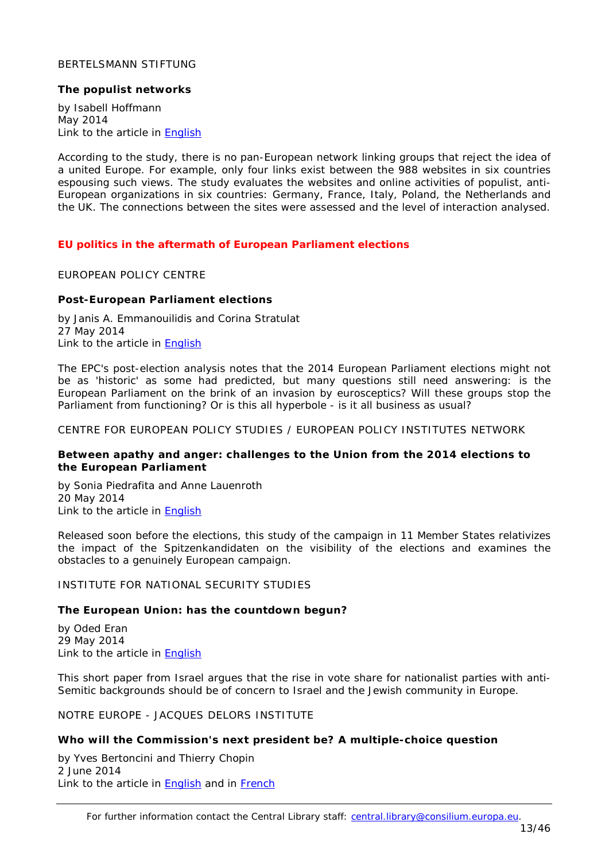### <span id="page-12-0"></span>BERTELSMANN STIFTUNG

#### <span id="page-12-1"></span>**The populist networks**

by Isabell Hoffmann May 2014 Link to the article in [English](http://www.bertelsmann-stiftung.de/cps/rde/xbcr/SID-4E693B78-0D0431E5/bst_engl/xcms_bst_dms_39832_39834_2.pdf)

According to the study, there is no pan-European network linking groups that reject the idea of a united Europe. For example, only four links exist between the 988 websites in six countries espousing such views. The study evaluates the websites and online activities of populist, anti-European organizations in six countries: Germany, France, Italy, Poland, the Netherlands and the UK. The connections between the sites were assessed and the level of interaction analysed.

### <span id="page-12-2"></span>*EU politics in the aftermath of European Parliament elections*

#### <span id="page-12-3"></span>EUROPEAN POLICY CENTRE

### <span id="page-12-4"></span>**Post-European Parliament elections**

by Janis A. Emmanouilidis and Corina Stratulat 27 May 2014 Link to the article in **[English](http://www.epc.eu/documents/uploads/pub_4464_post-ep_elections_analysis.pdf)** 

The EPC's post-election analysis notes that the 2014 European Parliament elections might not be as 'historic' as some had predicted, but many questions still need answering: is the European Parliament on the brink of an invasion by eurosceptics? Will these groups stop the Parliament from functioning? Or is this all hyperbole - is it all business as usual?

<span id="page-12-5"></span>CENTRE FOR EUROPEAN POLICY STUDIES / EUROPEAN POLICY INSTITUTES NETWORK

### <span id="page-12-6"></span>**Between apathy and anger: challenges to the Union from the 2014 elections to the European Parliament**

by Sonia Piedrafita and Anne Lauenroth 20 May 2014 Link to the article in **English** 

Released soon before the elections, this study of the campaign in 11 Member States relativizes the impact of the *Spitzenkandidaten* on the visibility of the elections and examines the obstacles to a genuinely European campaign.

<span id="page-12-7"></span>INSTITUTE FOR NATIONAL SECURITY STUDIES

# <span id="page-12-8"></span>**The European Union: has the countdown begun?**

by Oded Eran 29 May 2014 Link to the article in [English](http://mercury.ethz.ch/serviceengine/Files/ISN/180506/ipublicationdocument_singledocument/238fe9be-ebdc-431f-b84f-31dbde7d34a7/en/No.+555+-+Oded+for+web.pdf)

This short paper from Israel argues that the rise in vote share for nationalist parties with anti-Semitic backgrounds should be of concern to Israel and the Jewish community in Europe.

<span id="page-12-9"></span>NOTRE EUROPE - JACQUES DELORS INSTITUTE

### <span id="page-12-10"></span>**Who will the Commission's next president be? A multiple-choice question**

by Yves Bertoncini and Thierry Chopin 2 June 2014 Link to the article in **English** and in **French** 

For further information contact the Central Library staff: central.library@consilium.europa.eu.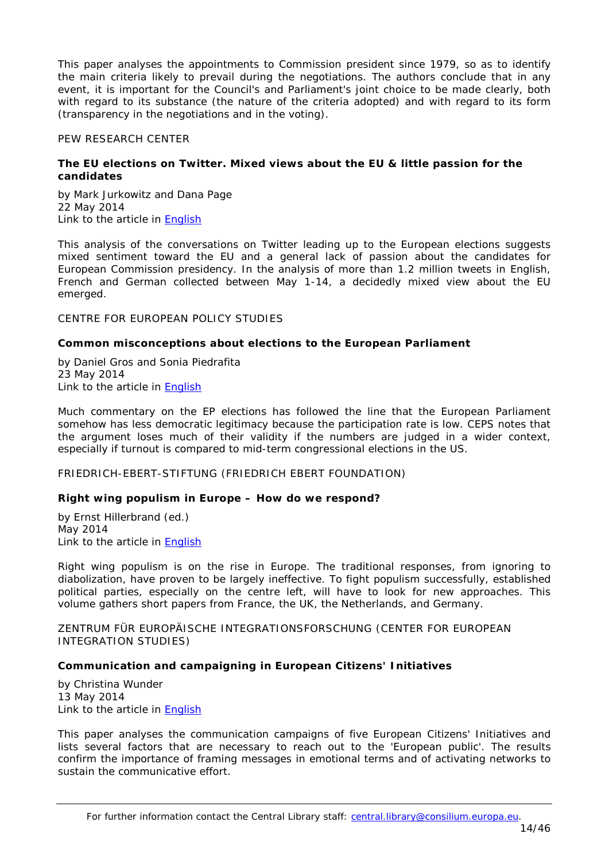This paper analyses the appointments to Commission president since 1979, so as to identify the main criteria likely to prevail during the negotiations. The authors conclude that in any event, it is important for the Council's and Parliament's joint choice to be made clearly, both with regard to its substance (the nature of the criteria adopted) and with regard to its form (transparency in the negotiations and in the voting).

### <span id="page-13-0"></span>PEW RESEARCH CENTER

### <span id="page-13-1"></span>**The EU elections on Twitter. Mixed views about the EU & little passion for the candidates**

by Mark Jurkowitz and Dana Page 22 May 2014 Link to the article in **English** 

This analysis of the conversations on Twitter leading up to the European elections suggests mixed sentiment toward the EU and a general lack of passion about the candidates for European Commission presidency. In the analysis of more than 1.2 million tweets in English, French and German collected between May 1-14, a decidedly mixed view about the EU emerged.

### <span id="page-13-2"></span>CENTRE FOR EUROPEAN POLICY STUDIES

### <span id="page-13-3"></span>**Common misconceptions about elections to the European Parliament**

by Daniel Gros and Sonia Piedrafita 23 May 2014 Link to the article in [English](http://www.ceps.be/ceps/dld/9298/pdf)

Much commentary on the EP elections has followed the line that the European Parliament somehow has less democratic legitimacy because the participation rate is low. CEPS notes that the argument loses much of their validity if the numbers are judged in a wider context, especially if turnout is compared to mid-term congressional elections in the US.

<span id="page-13-4"></span>FRIEDRICH-EBERT-STIFTUNG (FRIEDRICH EBERT FOUNDATION)

### <span id="page-13-5"></span>**Right wing populism in Europe – How do we respond?**

by Ernst Hillerbrand (ed.) May 2014 Link to the article in **English** 

Right wing populism is on the rise in Europe. The traditional responses, from ignoring to diabolization, have proven to be largely ineffective. To fight populism successfully, established political parties, especially on the centre left, will have to look for new approaches. This volume gathers short papers from France, the UK, the Netherlands, and Germany.

<span id="page-13-6"></span>ZENTRUM FÜR EUROPÄISCHE INTEGRATIONSFORSCHUNG (CENTER FOR EUROPEAN INTEGRATION STUDIES)

### <span id="page-13-7"></span>**Communication and campaigning in European Citizens' Initiatives**

by Christina Wunder 13 May 2014 Link to the article in [English](http://www.zei.uni-bonn.de/dateien/discussion-paper/dp_c224_wunder.pdf)

This paper analyses the communication campaigns of five European Citizens' Initiatives and lists several factors that are necessary to reach out to the 'European public'. The results confirm the importance of framing messages in emotional terms and of activating networks to sustain the communicative effort.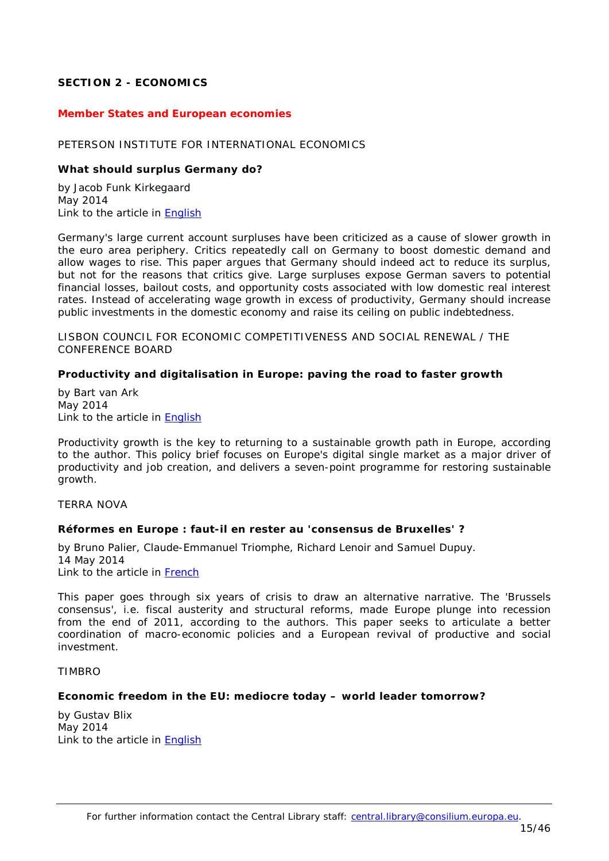# <span id="page-14-0"></span>**SECTION 2 - ECONOMICS**

#### <span id="page-14-1"></span>*Member States and European economies*

#### <span id="page-14-2"></span>PETERSON INSTITUTE FOR INTERNATIONAL ECONOMICS

#### <span id="page-14-3"></span>**What should surplus Germany do?**

by Jacob Funk Kirkegaard May 2014 Link to the article in [English](http://www.iie.com/publications/pb/pb14-14.pdf)

Germany's large current account surpluses have been criticized as a cause of slower growth in the euro area periphery. Critics repeatedly call on Germany to boost domestic demand and allow wages to rise. This paper argues that Germany should indeed act to reduce its surplus, but not for the reasons that critics give. Large surpluses expose German savers to potential financial losses, bailout costs, and opportunity costs associated with low domestic real interest rates. Instead of accelerating wage growth in excess of productivity, Germany should increase public investments in the domestic economy and raise its ceiling on public indebtedness.

<span id="page-14-4"></span>LISBON COUNCIL FOR ECONOMIC COMPETITIVENESS AND SOCIAL RENEWAL / THE CONFERENCE BOARD

### <span id="page-14-5"></span>**Productivity and digitalisation in Europe: paving the road to faster growth**

by Bart van Ark May 2014 Link to the article in **English** 

Productivity growth is the key to returning to a sustainable growth path in Europe, according to the author. This policy brief focuses on Europe's digital single market as a major driver of productivity and job creation, and delivers a seven-point programme for restoring sustainable growth.

<span id="page-14-6"></span>TERRA NOVA

#### <span id="page-14-7"></span>**Réformes en Europe : faut-il en rester au 'consensus de Bruxelles' ?**

by Bruno Palier, Claude-Emmanuel Triomphe, Richard Lenoir and Samuel Dupuy. 14 May 2014 Link to the article in [French](http://www.tnova.fr/sites/default/files/14052014%20-%20Faut-il%20en%20rester%20au%20consensus%20de%20Bruxelles.pdf)

This paper goes through six years of crisis to draw an alternative narrative. The 'Brussels consensus', i.e. fiscal austerity and structural reforms, made Europe plunge into recession from the end of 2011, according to the authors. This paper seeks to articulate a better coordination of macro-economic policies and a European revival of productive and social investment.

#### <span id="page-14-8"></span>TIMBRO

#### <span id="page-14-9"></span>**Economic freedom in the EU: mediocre today – world leader tomorrow?**

by Gustav Blix May 2014 Link to the article in [English](http://timbro.se/sites/timbro.se/files/files/reports/economic_freedom_in_the_eu_blix_timbro.pdf)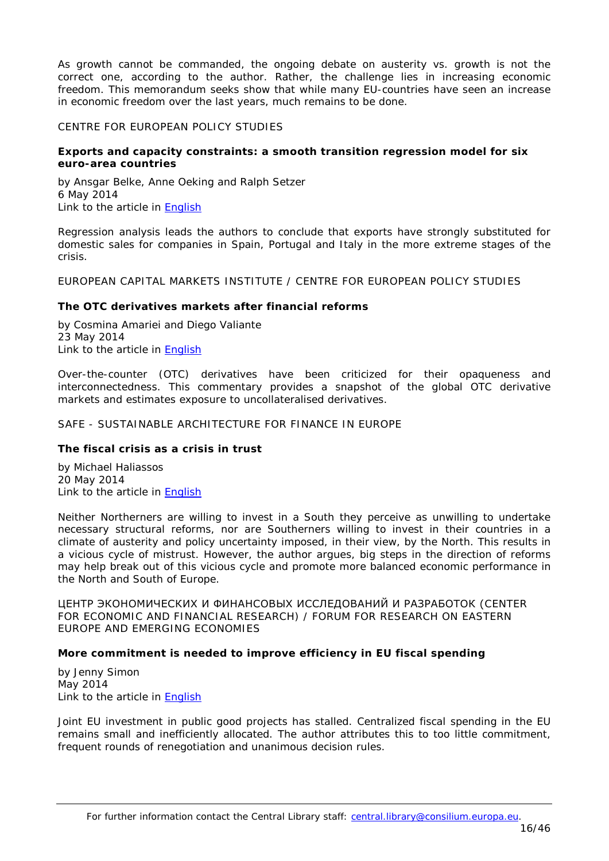As growth cannot be commanded, the ongoing debate on austerity vs. growth is not the correct one, according to the author. Rather, the challenge lies in increasing economic freedom. This memorandum seeks show that while many EU-countries have seen an increase in economic freedom over the last years, much remains to be done.

### <span id="page-15-0"></span>CENTRE FOR EUROPEAN POLICY STUDIES

### <span id="page-15-1"></span>**Exports and capacity constraints: a smooth transition regression model for six euro-area countries**

by Ansgar Belke, Anne Oeking and Ralph Setzer 6 May 2014 Link to the article in [English](http://www.ceps.be/ceps/dld/9228/pdf)

Regression analysis leads the authors to conclude that exports have strongly substituted for domestic sales for companies in Spain, Portugal and Italy in the more extreme stages of the crisis.

<span id="page-15-2"></span>EUROPEAN CAPITAL MARKETS INSTITUTE / CENTRE FOR EUROPEAN POLICY STUDIES

### <span id="page-15-3"></span>**The OTC derivatives markets after financial reforms**

by Cosmina Amariei and Diego Valiante 23 May 2014 Link to the article in [English](http://www.ceps.be/ceps/dld/9283/pdf)

Over-the-counter (OTC) derivatives have been criticized for their opaqueness and interconnectedness. This commentary provides a snapshot of the global OTC derivative markets and estimates exposure to uncollateralised derivatives.

### <span id="page-15-4"></span>SAFE - SUSTAINABLE ARCHITECTURE FOR FINANCE IN EUROPE

# <span id="page-15-5"></span>**The fiscal crisis as a crisis in trust**

by Michael Haliassos 20 May 2014 Link to the article in [English](http://safe-frankfurt.de/uploads/media/Haliassos_Fiscal_Crisis_as_Crisis_in_Trust.pdf)

Neither Northerners are willing to invest in a South they perceive as unwilling to undertake necessary structural reforms, nor are Southerners willing to invest in their countries in a climate of austerity and policy uncertainty imposed, in their view, by the North. This results in a vicious cycle of mistrust. However, the author argues, big steps in the direction of reforms may help break out of this vicious cycle and promote more balanced economic performance in the North and South of Europe.

<span id="page-15-6"></span>ЦЕНТР ЭКОНОМИЧЕСКИХ И ФИНАНСОВЫХ ИССЛЕДОВАНИЙ И РАЗРАБОТОК (CENTER FOR ECONOMIC AND FINANCIAL RESEARCH) / FORUM FOR RESEARCH ON EASTERN EUROPE AND EMERGING ECONOMIES

### <span id="page-15-7"></span>**More commitment is needed to improve efficiency in EU fiscal spending**

by Jenny Simon May 2014 Link to the article in [English](http://freepolicybriefs.files.wordpress.com/2014/05/freepolicybriefs_simon_may26.pdf)

Joint EU investment in public good projects has stalled. Centralized fiscal spending in the EU remains small and inefficiently allocated. The author attributes this to too little commitment, frequent rounds of renegotiation and unanimous decision rules.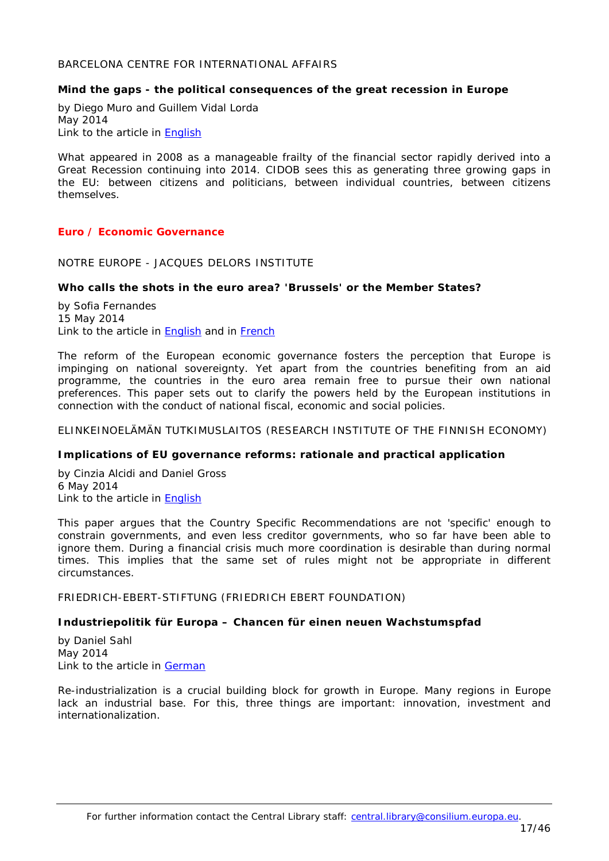### <span id="page-16-0"></span>BARCELONA CENTRE FOR INTERNATIONAL AFFAIRS

### <span id="page-16-1"></span>**Mind the gaps - the political consequences of the great recession in Europe**

by Diego Muro and Guillem Vidal Lorda May 2014 Link to the article in [English](http://www.cidob.org/en/content/download/39454/607885/file/NOTES+90_MURO_ANG.pdf)

What appeared in 2008 as a manageable frailty of the financial sector rapidly derived into a Great Recession continuing into 2014. CIDOB sees this as generating three growing gaps in the EU: between citizens and politicians, between individual countries, between citizens themselves.

### <span id="page-16-2"></span>*Euro / Economic Governance*

<span id="page-16-3"></span>NOTRE EUROPE - JACQUES DELORS INSTITUTE

#### <span id="page-16-4"></span>**Who calls the shots in the euro area? 'Brussels' or the Member States?**

by Sofia Fernandes 15 May 2014 Link to the article in **English** and in **French** 

The reform of the European economic governance fosters the perception that Europe is impinging on national sovereignty. Yet apart from the countries benefiting from an aid programme, the countries in the euro area remain free to pursue their own national preferences. This paper sets out to clarify the powers held by the European institutions in connection with the conduct of national fiscal, economic and social policies.

<span id="page-16-5"></span>ELINKEINOELÄMÄN TUTKIMUSLAITOS (RESEARCH INSTITUTE OF THE FINNISH ECONOMY)

#### <span id="page-16-6"></span>**Implications of EU governance reforms: rationale and practical application**

by Cinzia Alcidi and Daniel Gross 6 May 2014 Link to the article in [English](http://www.etla.fi/wp-content/uploads/ETLA-Raportit-Reports-25.pdf)

This paper argues that the Country Specific Recommendations are not 'specific' enough to constrain governments, and even less creditor governments, who so far have been able to ignore them. During a financial crisis much more coordination is desirable than during normal times. This implies that the same set of rules might not be appropriate in different circumstances.

<span id="page-16-7"></span>FRIEDRICH-EBERT-STIFTUNG (FRIEDRICH EBERT FOUNDATION)

### <span id="page-16-8"></span>**Industriepolitik für Europa – Chancen für einen neuen Wachstumspfad**

by Daniel Sahl May 2014 Link to the article in [German](http://library.fes.de/pdf-files/managerkreis/10761.pdf)

Re-industrialization is a crucial building block for growth in Europe. Many regions in Europe lack an industrial base. For this, three things are important: innovation, investment and internationalization.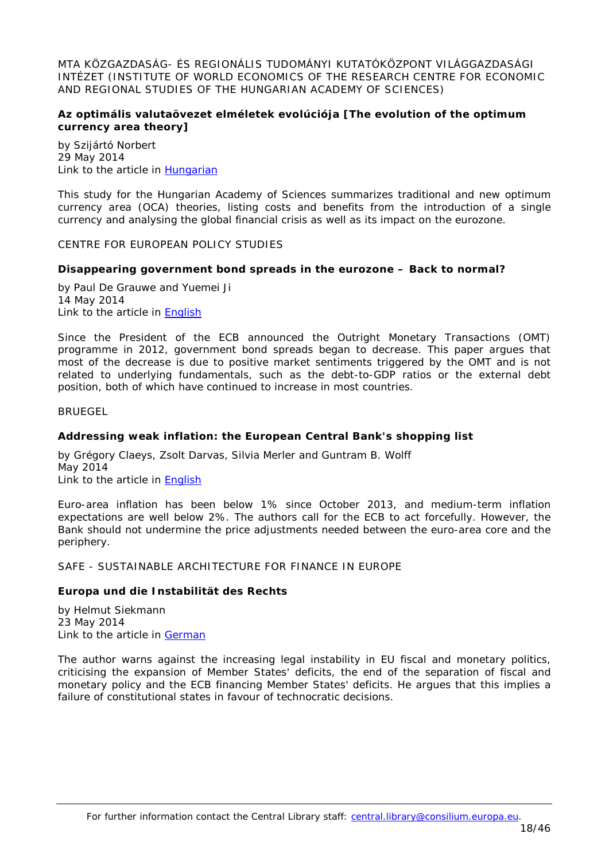<span id="page-17-0"></span>MTA KÖZGAZDASÁG- ÉS REGIONÁLIS TUDOMÁNYI KUTATÓKÖZPONT VILÁGGAZDASÁGI INTÉZET (INSTITUTE OF WORLD ECONOMICS OF THE RESEARCH CENTRE FOR ECONOMIC AND REGIONAL STUDIES OF THE HUNGARIAN ACADEMY OF SCIENCES)

# <span id="page-17-1"></span>**Az optimális valutaövezet elméletek evolúciója [The evolution of the optimum currency area theory]**

by Szijártó Norbert 29 May 2014 Link to the article in [Hungarian](http://www.vki.hu/mh-105.pdf)

This study for the Hungarian Academy of Sciences summarizes traditional and new optimum currency area (OCA) theories, listing costs and benefits from the introduction of a single currency and analysing the global financial crisis as well as its impact on the eurozone.

<span id="page-17-2"></span>CENTRE FOR EUROPEAN POLICY STUDIES

### <span id="page-17-3"></span>**Disappearing government bond spreads in the eurozone – Back to normal?**

by Paul De Grauwe and Yuemei Ji 14 May 2014 Link to the article in [English](http://www.ceps.be/ceps/dld/9249/pdf)

Since the President of the ECB announced the Outright Monetary Transactions (OMT) programme in 2012, government bond spreads began to decrease. This paper argues that most of the decrease is due to positive market sentiments triggered by the OMT and is not related to underlying fundamentals, such as the debt-to-GDP ratios or the external debt position, both of which have continued to increase in most countries.

<span id="page-17-4"></span>**BRUEGEL** 

### <span id="page-17-5"></span>**Addressing weak inflation: the European Central Bank's shopping list**

by Grégory Claeys, Zsolt Darvas, Silvia Merler and Guntram B. Wolff May 2014 Link to the article in English

Euro-area inflation has been below 1% since October 2013, and medium-term inflation expectations are well below 2%. The authors call for the ECB to act forcefully. However, the Bank should not undermine the price adjustments needed between the euro-area core and the periphery.

<span id="page-17-6"></span>SAFE - SUSTAINABLE ARCHITECTURE FOR FINANCE IN EUROPE

### <span id="page-17-7"></span>**Europa und die Instabilität des Rechts**

by Helmut Siekmann 23 May 2014 Link to the article in [German](http://safe-frankfurt.de/uploads/media/Siekmann_Europa_Instabilitaet_des_Rechts.pdf)

The author warns against the increasing legal instability in EU fiscal and monetary politics, criticising the expansion of Member States' deficits, the end of the separation of fiscal and monetary policy and the ECB financing Member States' deficits. He argues that this implies a failure of constitutional states in favour of technocratic decisions.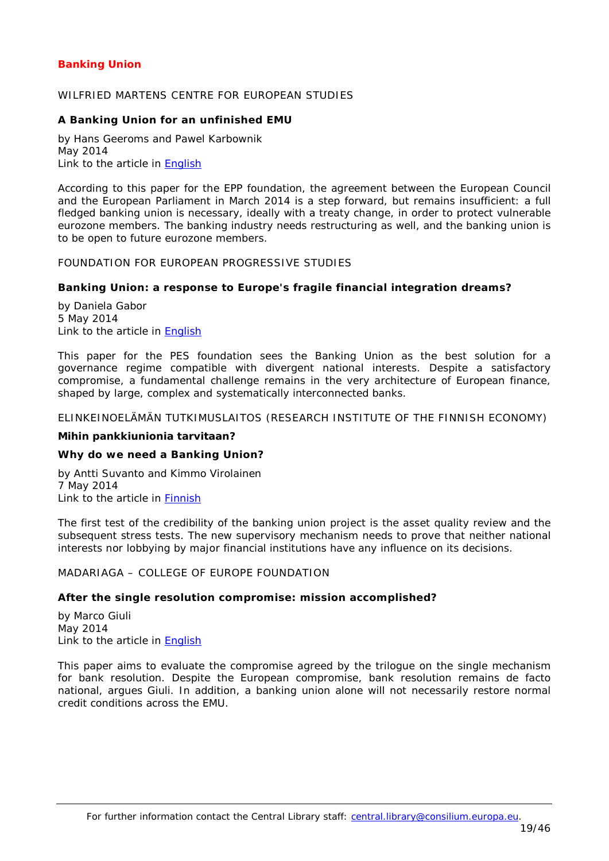# <span id="page-18-0"></span>*Banking Union*

### <span id="page-18-1"></span>WILFRIED MARTENS CENTRE FOR FUROPEAN STUDIES

### <span id="page-18-2"></span>**A Banking Union for an unfinished EMU**

by Hans Geeroms and Pawel Karbownik May 2014 Link to the article in [English](http://martenscentre.eu/sites/default/files/publication-files/banking_union-pdf_for_web.pdf)

According to this paper for the EPP foundation, the agreement between the European Council and the European Parliament in March 2014 is a step forward, but remains insufficient: a full fledged banking union is necessary, ideally with a treaty change, in order to protect vulnerable eurozone members. The banking industry needs restructuring as well, and the banking union is to be open to future eurozone members.

# <span id="page-18-3"></span>FOUNDATION FOR EUROPEAN PROGRESSIVE STUDIES

### <span id="page-18-4"></span>**Banking Union: a response to Europe's fragile financial integration dreams?**

by Daniela Gabor 5 May 2014 Link to the article in [English](http://www.feps-europe.eu/assets/0edc6303-88a5-4242-8cee-52fca902c6e5/2014_05_05_bankingunion_policybrief_3.pdf)

This paper for the PES foundation sees the Banking Union as the best solution for a governance regime compatible with divergent national interests. Despite a satisfactory compromise, a fundamental challenge remains in the very architecture of European finance, shaped by large, complex and systematically interconnected banks.

### <span id="page-18-5"></span>ELINKEINOELÄMÄN TUTKIMUSLAITOS (RESEARCH INSTITUTE OF THE FINNISH ECONOMY)

#### **Mihin pankkiunionia tarvitaan?**

#### <span id="page-18-6"></span>*Why do we need a Banking Union?*

by Antti Suvanto and Kimmo Virolainen 7 May 2014 Link to the article in **Finnish** 

The first test of the credibility of the banking union project is the asset quality review and the subsequent stress tests. The new supervisory mechanism needs to prove that neither national interests nor lobbying by major financial institutions have any influence on its decisions.

<span id="page-18-7"></span>MADARIAGA – COLLEGE OF EUROPE FOUNDATION

#### <span id="page-18-8"></span>**After the single resolution compromise: mission accomplished?**

by Marco Giuli May 2014 Link to the article in **English** 

This paper aims to evaluate the compromise agreed by the trilogue on the single mechanism for bank resolution. Despite the European compromise, bank resolution remains *de facto* national, argues Giuli. In addition, a banking union alone will not necessarily restore normal credit conditions across the EMU.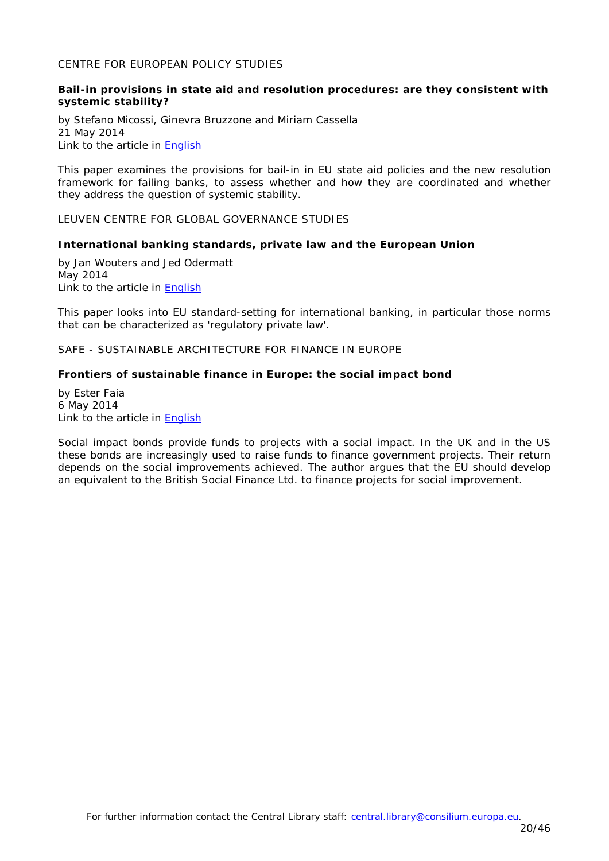# <span id="page-19-0"></span>CENTRE FOR EUROPEAN POLICY STUDIES

### <span id="page-19-1"></span>**Bail-in provisions in state aid and resolution procedures: are they consistent with systemic stability?**

by Stefano Micossi, Ginevra Bruzzone and Miriam Cassella 21 May 2014 Link to the article in [English](http://www.ceps.be/ceps/dld/9279/pdf)

This paper examines the provisions for bail-in in EU state aid policies and the new resolution framework for failing banks, to assess whether and how they are coordinated and whether they address the question of systemic stability.

<span id="page-19-2"></span>LEUVEN CENTRE FOR GLOBAL GOVERNANCE STUDIES

#### <span id="page-19-3"></span>**International banking standards, private law and the European Union**

by Jan Wouters and Jed Odermatt May 2014 Link to the article in **English** 

This paper looks into EU standard-setting for international banking, in particular those norms that can be characterized as 'regulatory private law'.

<span id="page-19-4"></span>SAFE - SUSTAINABLE ARCHITECTURE FOR FINANCE IN EUROPE

### <span id="page-19-5"></span>**Frontiers of sustainable finance in Europe: the social impact bond**

by Ester Faia 6 May 2014 Link to the article in [English](http://safe-frankfurt.de/uploads/media/Faia_Social_Impact_Bonds.pdf)

Social impact bonds provide funds to projects with a social impact. In the UK and in the US these bonds are increasingly used to raise funds to finance government projects. Their return depends on the social improvements achieved. The author argues that the EU should develop an equivalent to the British Social Finance Ltd. to finance projects for social improvement.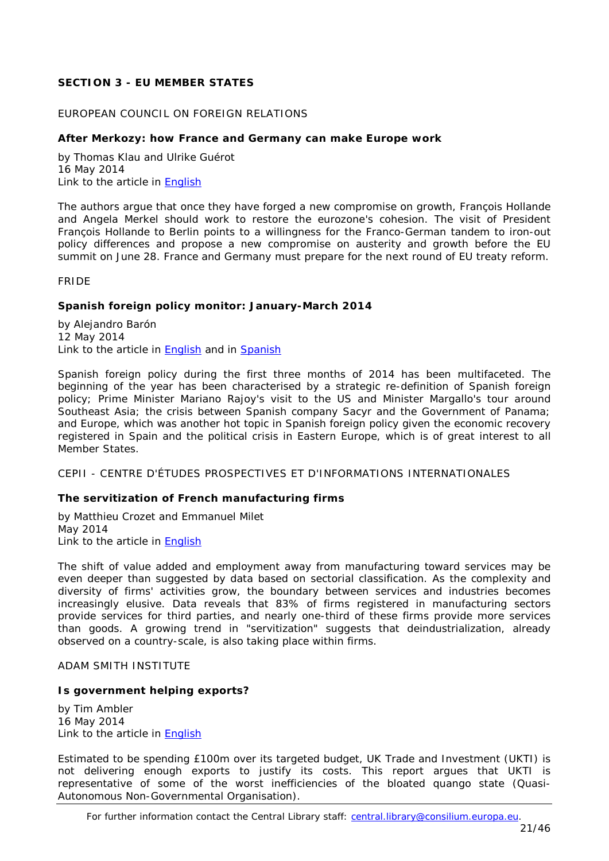# <span id="page-20-0"></span>**SECTION 3 - EU MEMBER STATES**

# <span id="page-20-1"></span>EUROPEAN COUNCIL ON FOREIGN RELATIONS

# <span id="page-20-2"></span>**After Merkozy: how France and Germany can make Europe work**

by Thomas Klau and Ulrike Guérot 16 May 2014 Link to the article in **English** 

The authors argue that once they have forged a new compromise on growth, François Hollande and Angela Merkel should work to restore the eurozone's cohesion. The visit of President François Hollande to Berlin points to a willingness for the Franco-German tandem to iron-out policy differences and propose a new compromise on austerity and growth before the EU summit on June 28. France and Germany must prepare for the next round of EU treaty reform.

<span id="page-20-3"></span>FRIDE

### <span id="page-20-4"></span>**Spanish foreign policy monitor: January-March 2014**

by Alejandro Barón 12 May 2014 Link to the article in [English](http://www.fride.org/download/PB_180_Spanish_foreign_policy_monitor.pdf) and in [Spanish](http://www.fride.org/download/PB_108_Claves_de_la_politica_exterior_espanola.pdf)

Spanish foreign policy during the first three months of 2014 has been multifaceted. The beginning of the year has been characterised by a strategic re-definition of Spanish foreign policy; Prime Minister Mariano Rajoy's visit to the US and Minister Margallo's tour around Southeast Asia; the crisis between Spanish company Sacyr and the Government of Panama; and Europe, which was another hot topic in Spanish foreign policy given the economic recovery registered in Spain and the political crisis in Eastern Europe, which is of great interest to all Member States.

<span id="page-20-5"></span>CEPII - CENTRE D'ÉTUDES PROSPECTIVES ET D'INFORMATIONS INTERNATIONALES

### <span id="page-20-6"></span>**The servitization of French manufacturing firms**

by [Matthieu Crozet](http://www.cepii.fr/CEPII/fr/page_perso/page_perso.asp?nom_complet=Matthieu%20Crozet) and Emmanuel Milet May 2014 Link to the article in [English](http://www.cepii.fr/PDF_PUB/wp/2014/wp2014-10.pdf)

The shift of value added and employment away from manufacturing toward services may be even deeper than suggested by data based on sectorial classification. As the complexity and diversity of firms' activities grow, the boundary between services and industries becomes increasingly elusive. Data reveals that 83% of firms registered in manufacturing sectors provide services for third parties, and nearly one-third of these firms provide more services than goods. A growing trend in "servitization" suggests that deindustrialization, already observed on a country-scale, is also taking place within firms.

<span id="page-20-7"></span>ADAM SMITH INSTITUTE

### <span id="page-20-8"></span>**Is government helping exports?**

by Tim Ambler 16 May 2014 Link to the article in [English](http://www.adamsmith.org/sites/default/files/research/files/UKTIPaperWeb.pdf)

Estimated to be spending £100m over its targeted budget, UK Trade and Investment (UKTI) is not delivering enough exports to justify its costs. This report argues that UKTI is representative of some of the worst inefficiencies of the bloated quango state (Quasi-Autonomous Non-Governmental Organisation).

For further information contact the Central Library staff: central.library@consilium.europa.eu.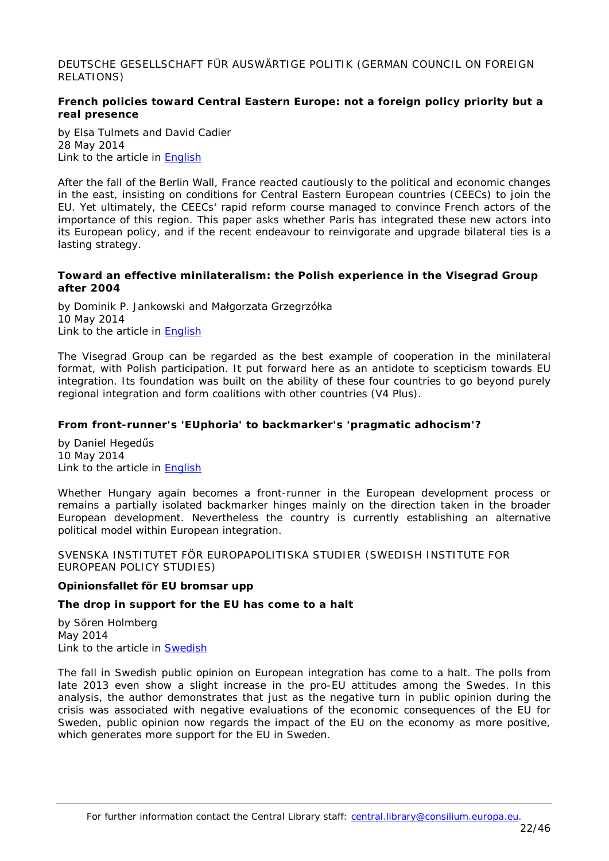<span id="page-21-0"></span>DEUTSCHE GESELLSCHAFT FÜR AUSWÄRTIGE POLITIK (GERMAN COUNCIL ON FOREIGN RELATIONS)

# <span id="page-21-1"></span>**French policies toward Central Eastern Europe: not a foreign policy priority but a real presence**

by Elsa Tulmets and David Cadier 28 May 2014 Link to the article in [English](https://dgap.org/en/article/getFullPDF/25464)

After the fall of the Berlin Wall, France reacted cautiously to the political and economic changes in the east, insisting on conditions for Central Eastern European countries (CEECs) to join the EU. Yet ultimately, the CEECs' rapid reform course managed to convince French actors of the importance of this region. This paper asks whether Paris has integrated these new actors into its European policy, and if the recent endeavour to reinvigorate and upgrade bilateral ties is a lasting strategy.

### <span id="page-21-2"></span>**Toward an effective minilateralism: the Polish experience in the Visegrad Group after 2004**

by Dominik P. Jankowski and Małgorzata Grzegrzółka 10 May 2014 Link to the article in [English](https://dgap.org/en/article/getFullPDF/25439)

The Visegrad Group can be regarded as the best example of cooperation in the minilateral format, with Polish participation. It put forward here as an antidote to scepticism towards EU integration. Its foundation was built on the ability of these four countries to go beyond purely regional integration and form coalitions with other countries (V4 Plus).

# <span id="page-21-3"></span>**From front-runner's 'EUphoria' to backmarker's 'pragmatic adhocism'?**

by Daniel Hegedűs 10 May 2014 Link to the article in [English](https://dgap.org/en/article/getFullPDF/25438)

Whether Hungary again becomes a front-runner in the European development process or remains a partially isolated backmarker hinges mainly on the direction taken in the broader European development. Nevertheless the country is currently establishing an alternative political model within European integration.

<span id="page-21-4"></span>SVENSKA INSTITUTET FÖR EUROPAPOLITISKA STUDIER (SWEDISH INSTITUTE FOR EUROPEAN POLICY STUDIES)

### **Opinionsfallet för EU bromsar upp**

### <span id="page-21-5"></span>*The drop in support for the EU has come to a halt*

by Sören Holmberg May 2014 Link to the article in [Swedish](http://www.sieps.se/sites/default/files/2014_5epa.pdf)

The fall in Swedish public opinion on European integration has come to a halt. The polls from late 2013 even show a slight increase in the pro-EU attitudes among the Swedes. In this analysis, the author demonstrates that just as the negative turn in public opinion during the crisis was associated with negative evaluations of the economic consequences of the EU for Sweden, public opinion now regards the impact of the EU on the economy as more positive, which generates more support for the EU in Sweden.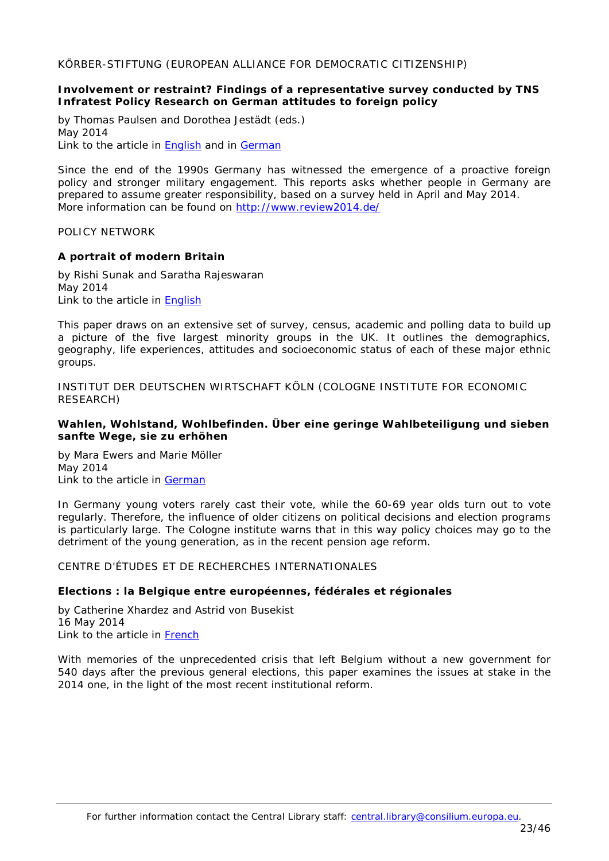<span id="page-22-0"></span>KÖRBER-STIFTUNG (EUROPEAN ALLIANCE FOR DEMOCRATIC CITIZENSHIP)

### <span id="page-22-1"></span>**Involvement or restraint? Findings of a representative survey conducted by TNS Infratest Policy Research on German attitudes to foreign policy**

by Thomas Paulsen and Dorothea Jestädt (eds.) May 2014 Link to the article in **English** and in [German](http://www.koerber-stiftung.de/fileadmin/user_upload/internationale_politik/sonderthemen/umfrage_aussenpolitik/Koerber-Stiftung_Umfrage_Aussenpolitik_Broschuere.pdf)

Since the end of the 1990s Germany has witnessed the emergence of a proactive foreign policy and stronger military engagement. This reports asks whether people in Germany are prepared to assume greater responsibility, based on a survey held in April and May 2014. *More information can be found on [http://www.review2014.de/](http://www.review2014.de/en/topics.html)*

<span id="page-22-2"></span>POLICY NETWORK

### <span id="page-22-3"></span>**A portrait of modern Britain**

by Rishi Sunak and Saratha Rajeswaran May 2014 Link to the article in [English](http://www.policyexchange.org.uk/images/publications/a%20portrait%20of%20modern%20britain.pdf)

This paper draws on an extensive set of survey, census, academic and polling data to build up a picture of the five largest minority groups in the UK. It outlines the demographics, geography, life experiences, attitudes and socioeconomic status of each of these major ethnic groups.

<span id="page-22-4"></span>INSTITUT DER DEUTSCHEN WIRTSCHAFT KÖLN (COLOGNE INSTITUTE FOR ECONOMIC RESEARCH)

### <span id="page-22-5"></span>**Wahlen, Wohlstand, Wohlbefinden. Über eine geringe Wahlbeteiligung und sieben sanfte Wege, sie zu erhöhen**

by Mara Ewers and Marie Möller May 2014 Link to the article in [German](http://www.etracker.de/lnkcnt.php?et=lKbSM9&url=http%3A%2F%2Fwww.iwkoeln.de%2F_storage%2Fasset%2F165856%2Fstorage%2Fmaster%2Ffile%2F4531376%2Fdownload%2FIW%2520policy%2520paper%2520Wahlbeteiligung.pdf&lnkname=IW%20policy%20paper%20Wahlbeteiligung.pdf)

In Germany young voters rarely cast their vote, while the 60-69 year olds turn out to vote regularly. Therefore, the influence of older citizens on political decisions and election programs is particularly large. The Cologne institute warns that in this way policy choices may go to the detriment of the young generation, as in the recent pension age reform.

# <span id="page-22-6"></span>CENTRE D'ÉTUDES ET DE RECHERCHES INTERNATIONALES

### <span id="page-22-7"></span>**Elections : la Belgique entre européennes, fédérales et régionales**

by Catherine Xhardez and Astrid von Busekist 16 May 2014 Link to the article in [French](http://www.sciencespo.fr/ceri/fr/printpdf/3891)

With memories of the unprecedented crisis that left Belgium without a new government for 540 days after the previous general elections, this paper examines the issues at stake in the 2014 one, in the light of the most recent institutional reform.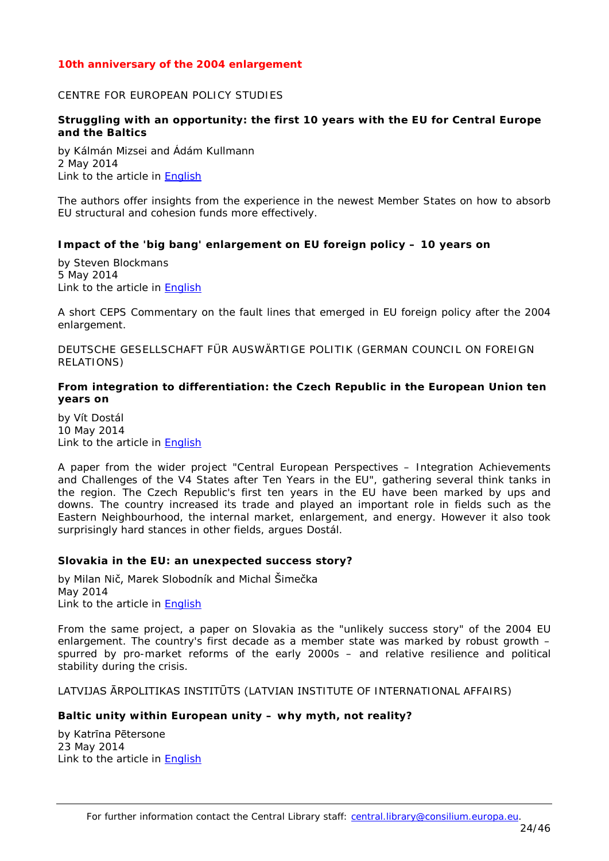# <span id="page-23-0"></span>*10th anniversary of the 2004 enlargement*

#### <span id="page-23-1"></span>CENTRE FOR EUROPEAN POLICY STUDIES

### <span id="page-23-2"></span>**Struggling with an opportunity: the first 10 years with the EU for Central Europe and the Baltics**

by Kálmán Mizsei and Ádám Kullmann 2 May 2014 Link to the article in [English](http://www.ceps.be/ceps/dld/9220/pdf)

The authors offer insights from the experience in the newest Member States on how to absorb EU structural and cohesion funds more effectively.

#### <span id="page-23-3"></span>**Impact of the 'big bang' enlargement on EU foreign policy – 10 years on**

by Steven Blockmans 5 May 2014 Link to the article in [English](http://www.ceps.be/ceps/dld/9224/pdf)

A short CEPS Commentary on the fault lines that emerged in EU foreign policy after the 2004 enlargement.

<span id="page-23-4"></span>DEUTSCHE GESELLSCHAFT FÜR AUSWÄRTIGE POLITIK (GERMAN COUNCIL ON FOREIGN RELATIONS)

### <span id="page-23-5"></span>**From integration to differentiation: the Czech Republic in the European Union ten years on**

by Vít Dostál 10 May 2014 Link to the article in [English](https://dgap.org/en/article/getFullPDF/25440)

A paper from the wider project "Central European Perspectives – Integration Achievements and Challenges of the V4 States after Ten Years in the EU", gathering several think tanks in the region. The Czech Republic's first ten years in the EU have been marked by ups and downs. The country increased its trade and played an important role in fields such as the Eastern Neighbourhood, the internal market, enlargement, and energy. However it also took surprisingly hard stances in other fields, argues Dostál.

#### <span id="page-23-6"></span>**Slovakia in the EU: an unexpected success story?**

by Milan Nič, Marek Slobodník and Michal Šimečka May 2014 Link to the article in [English](https://dgap.org/en/article/getFullPDF/25437)

From the same project, a paper on Slovakia as the "unlikely success story" of the 2004 EU enlargement. The country's first decade as a member state was marked by robust growth – spurred by pro-market reforms of the early 2000s – and relative resilience and political stability during the crisis.

### <span id="page-23-7"></span>LATVIJAS ĀRPOLITIKAS INSTITŪTS (LATVIAN INSTITUTE OF INTERNATIONAL AFFAIRS)

### <span id="page-23-8"></span>**Baltic unity within European unity – why myth, not reality?**

by Katrīna Pētersone 23 May 2014 Link to the article in [English](http://liia.lv/site/docs/Katrina_Petersone_Baltic_Unity_EU.pdf)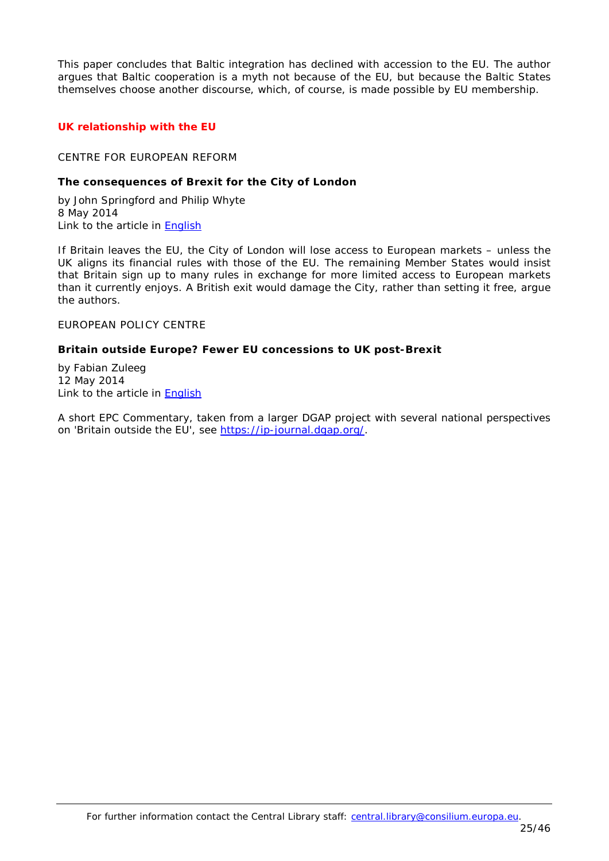This paper concludes that Baltic integration has declined with accession to the EU. The author argues that Baltic cooperation is a myth not because of the EU, but because the Baltic States themselves choose another discourse, which, of course, is made possible by EU membership.

# <span id="page-24-0"></span>*UK relationship with the EU*

### <span id="page-24-1"></span>CENTRE FOR EUROPEAN REFORM

### <span id="page-24-2"></span>**The consequences of Brexit for the City of London**

by John Springford and Philip Whyte 8 May 2014 Link to the article in **English** 

If Britain leaves the EU, the City of London will lose access to European markets – unless the UK aligns its financial rules with those of the EU. The remaining Member States would insist that Britain sign up to many rules in exchange for more limited access to European markets than it currently enjoys. A British exit would damage the City, rather than setting it free, argue the authors.

<span id="page-24-3"></span>EUROPEAN POLICY CENTRE

#### <span id="page-24-4"></span>**Britain outside Europe? Fewer EU concessions to UK post-Brexit**

by Fabian Zuleeg 12 May 2014 Link to the article in [English](http://www.epc.eu/documents/uploads/pub_4406_britain_outside_europe.pdf)

A short EPC Commentary, taken from a larger DGAP project with several national perspectives on 'Britain outside the EU', see [https://ip-journal.dgap.org/.](https://ip-journal.dgap.org/)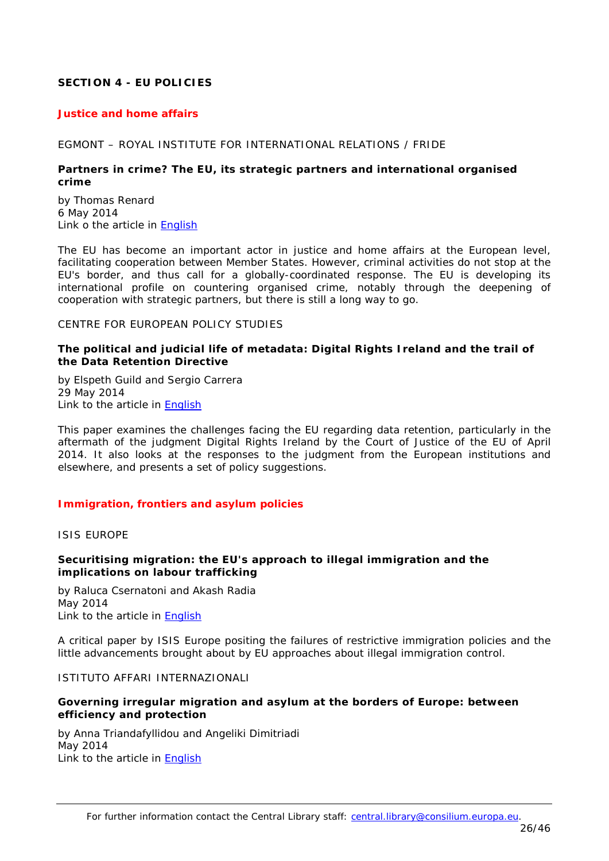# <span id="page-25-0"></span>**SECTION 4 - EU POLICIES**

#### <span id="page-25-1"></span>*Justice and home affairs*

#### <span id="page-25-2"></span>EGMONT – ROYAL INSTITUTE FOR INTERNATIONAL RELATIONS / FRIDE

### <span id="page-25-3"></span>**Partners in crime? The EU, its strategic partners and international organised crime**

by Thomas Renard 6 May 2014 Link o the article in [English](http://www.egmontinstitute.be/wp-content/uploads/2014/05/ESPO-WP5.pdf)

The EU has become an important actor in justice and home affairs at the European level, facilitating cooperation between Member States. However, criminal activities do not stop at the EU's border, and thus call for a globally-coordinated response. The EU is developing its international profile on countering organised crime, notably through the deepening of cooperation with strategic partners, but there is still a long way to go.

#### <span id="page-25-4"></span>CENTRE FOR EUROPEAN POLICY STUDIES

### <span id="page-25-5"></span>**The political and judicial life of metadata: Digital Rights Ireland and the trail of the Data Retention Directive**

by Elspeth Guild and Sergio Carrera 29 May 2014 Link to the article in [English](http://www.ceps.be/ceps/dld/9334/pdf)

This paper examines the challenges facing the EU regarding data retention, particularly in the aftermath of the judgment Digital Rights Ireland by the Court of Justice of the EU of April 2014. It also looks at the responses to the judgment from the European institutions and elsewhere, and presents a set of policy suggestions.

### <span id="page-25-6"></span>*Immigration, frontiers and asylum policies*

<span id="page-25-7"></span>ISIS EUROPE

### <span id="page-25-8"></span>**Securitising migration: the EU's approach to illegal immigration and the implications on labour trafficking**

by Raluca Csernatoni and Akash Radia May 2014 Link to the article in [English](http://www.isis-europe.eu/sites/default/files/publications-downloads/ESR%2071%20-%20Securitising%20Migration-%20The%20EU%E2%80%99s%20Approach%20to%20Illegal%20Immigration%20and%20the%20implications%20on%20Labour%20Trafficking_0.pdf)

A critical paper by ISIS Europe positing the failures of restrictive immigration policies and the little advancements brought about by EU approaches about illegal immigration control.

### <span id="page-25-9"></span>ISTITUTO AFFARI INTERNAZIONALI

### <span id="page-25-10"></span>**Governing irregular migration and asylum at the borders of Europe: between efficiency and protection**

by Anna Triandafyllidou and Angeliki Dimitriadi May 2014 Link to the article in [English](http://www.iai.it/pdf/ImaginingEurope/ImaginingEurope_06.pdf)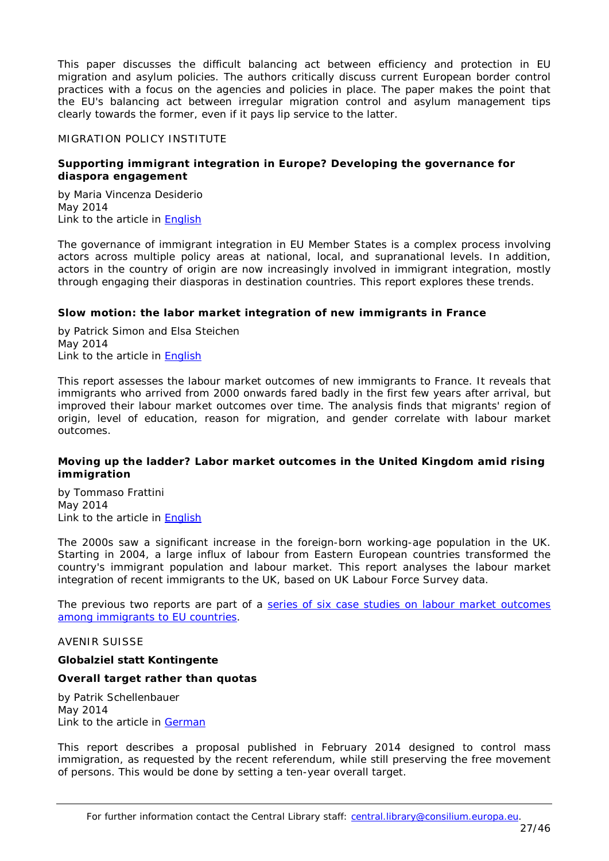This paper discusses the difficult balancing act between efficiency and protection in EU migration and asylum policies. The authors critically discuss current European border control practices with a focus on the agencies and policies in place. The paper makes the point that the EU's balancing act between irregular migration control and asylum management tips clearly towards the former, even if it pays lip service to the latter.

# <span id="page-26-0"></span>MIGRATION POLICY INSTITUTE

### <span id="page-26-1"></span>**Supporting immigrant integration in Europe? Developing the governance for diaspora engagement**

by Maria Vincenza Desiderio May 2014 Link to the article in **English** 

The governance of immigrant integration in EU Member States is a complex process involving actors across multiple policy areas at national, local, and supranational levels. In addition, actors in the country of origin are now increasingly involved in immigrant integration, mostly through engaging their diasporas in destination countries. This report explores these trends.

# <span id="page-26-2"></span>**Slow motion: the labor market integration of new immigrants in France**

by Patrick Simon and Elsa Steichen May 2014 Link to the article in [English](http://www.migrationpolicy.org/sites/default/files/publications/DG%20Employment-France-FINALWEB.pdf)

This report assesses the labour market outcomes of new immigrants to France. It reveals that immigrants who arrived from 2000 onwards fared badly in the first few years after arrival, but improved their labour market outcomes over time. The analysis finds that migrants' region of origin, level of education, reason for migration, and gender correlate with labour market outcomes.

# <span id="page-26-3"></span>**Moving up the ladder? Labor market outcomes in the United Kingdom amid rising immigration**

by Tommaso Frattini May 2014 Link to the article in [English](http://www.migrationpolicy.org/sites/default/files/publications/DG%20Employment-UK-FINALWEB.pdf)

The 2000s saw a significant increase in the foreign-born working-age population in the UK. Starting in 2004, a large influx of labour from Eastern European countries transformed the country's immigrant population and labour market. This report analyses the labour market integration of recent immigrants to the UK, based on UK Labour Force Survey data.

*The previous two reports are part of a [series of six case studies on labour market outcomes](http://www.migrationpolicy.org/programs/labor-market-integration-new-arrivals-europe)  [among immigrants to EU countries.](http://www.migrationpolicy.org/programs/labor-market-integration-new-arrivals-europe)*

### <span id="page-26-4"></span>AVENIR SUISSE

### **Globalziel statt Kontingente**

### <span id="page-26-5"></span>*Overall target rather than quotas*

by [Patrik Schellenbauer](http://www.avenir-suisse.ch/author/patrik-schellenbauer/) May 2014 Link to the article in [German](http://www.avenir-suisse.ch/wp-content/uploads/2014/05/as_zuwanderung-freizügigkeit_hp-.pdf)

This report describes a proposal published in February 2014 designed to control mass immigration, as requested by the recent referendum, while still preserving the free movement of persons. This would be done by setting a ten-year overall target.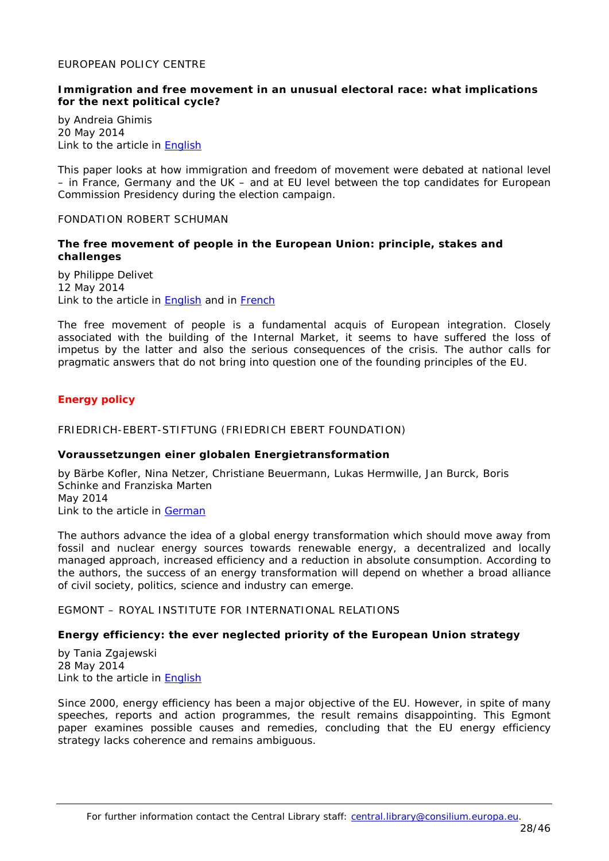### <span id="page-27-0"></span>EUROPEAN POLICY CENTRE

### <span id="page-27-1"></span>**Immigration and free movement in an unusual electoral race: what implications for the next political cycle?**

by Andreia Ghimis 20 May 2014 Link to the article in **English** 

This paper looks at how immigration and freedom of movement were debated at national level – in France, Germany and the UK – and at EU level between the top candidates for European Commission Presidency during the election campaign.

#### <span id="page-27-2"></span>FONDATION ROBERT SCHUMAN

### <span id="page-27-3"></span>**The free movement of people in the European Union: principle, stakes and challenges**

by Philippe Delivet 12 May 2014 Link to the article in [English](http://www.robert-schuman.eu/en/doc/questions-d-europe/qe-312-en.pdf) and in [French](http://www.robert-schuman.eu/fr/doc/questions-d-europe/qe-312-fr.pdf)

The free movement of people is a fundamental *acquis* of European integration. Closely associated with the building of the Internal Market, it seems to have suffered the loss of impetus by the latter and also the serious consequences of the crisis. The author calls for pragmatic answers that do not bring into question one of the founding principles of the EU.

# <span id="page-27-4"></span>*Energy policy*

#### <span id="page-27-5"></span>FRIEDRICH-EBERT-STIFTUNG (FRIEDRICH EBERT FOUNDATION)

#### <span id="page-27-6"></span>**Voraussetzungen einer globalen Energietransformation**

by Bärbe Kofler, Nina Netzer, Christiane Beuermann, Lukas Hermwille, Jan Burck, Boris Schinke and Franziska Marten May 2014 Link to the article in [German](http://library.fes.de/pdf-files/iez/10751-20140514.pdf)

The authors advance the idea of a global energy transformation which should move away from fossil and nuclear energy sources towards renewable energy, a decentralized and locally managed approach, increased efficiency and a reduction in absolute consumption. According to the authors, the success of an energy transformation will depend on whether a broad alliance of civil society, politics, science and industry can emerge.

<span id="page-27-7"></span>EGMONT – ROYAL INSTITUTE FOR INTERNATIONAL RELATIONS

# <span id="page-27-8"></span>**Energy efficiency: the ever neglected priority of the European Union strategy**

by Tania Zgajewski 28 May 2014 Link to the article in [English](http://www.egmontinstitute.be/wp-content/uploads/2014/05/ep66.pdf)

Since 2000, energy efficiency has been a major objective of the EU. However, in spite of many speeches, reports and action programmes, the result remains disappointing. This Egmont paper examines possible causes and remedies, concluding that the EU energy efficiency strategy lacks coherence and remains ambiguous.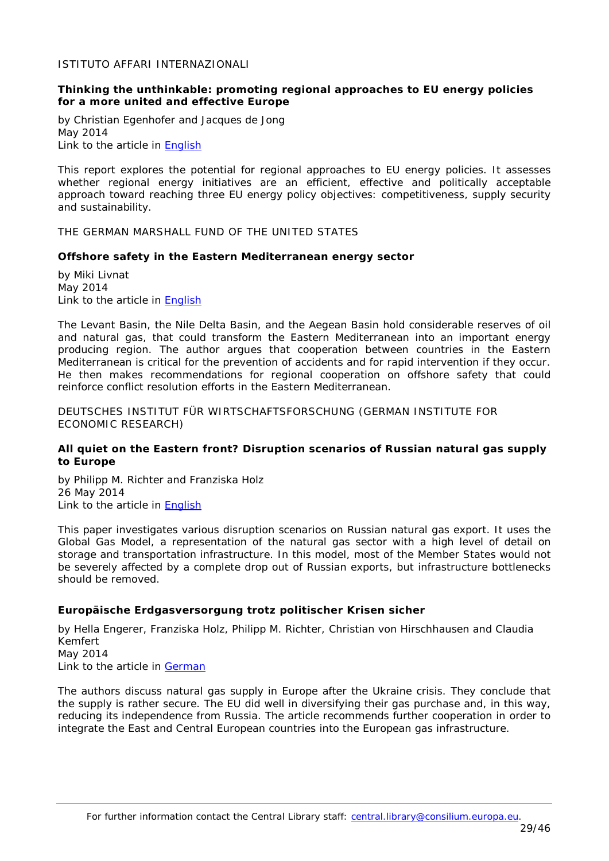<span id="page-28-0"></span>ISTITUTO AFFARI INTERNAZIONALI

### <span id="page-28-1"></span>**Thinking the unthinkable: promoting regional approaches to EU energy policies for a more united and effective Europe**

by Christian Egenhofer and Jacques de Jong May 2014 Link to the article in **English** 

This report explores the potential for regional approaches to EU energy policies. It assesses whether regional energy initiatives are an efficient, effective and politically acceptable approach toward reaching three EU energy policy objectives: competitiveness, supply security and sustainability.

<span id="page-28-2"></span>THE GERMAN MARSHALL FUND OF THE UNITED STATES

### <span id="page-28-3"></span>**Offshore safety in the Eastern Mediterranean energy sector**

by Miki Livnat May 2014 Link to the article in [English](http://www.gmfus.org/wp-content/blogs.dir/1/files_mf/1399909936Livnat_OffshoreEnergySafety_May14_web.pdf)

The Levant Basin, the Nile Delta Basin, and the Aegean Basin hold considerable reserves of oil and natural gas, that could transform the Eastern Mediterranean into an important energy producing region. The author argues that cooperation between countries in the Eastern Mediterranean is critical for the prevention of accidents and for rapid intervention if they occur. He then makes recommendations for regional cooperation on offshore safety that could reinforce conflict resolution efforts in the Eastern Mediterranean.

<span id="page-28-4"></span>DEUTSCHES INSTITUT FÜR WIRTSCHAFTSFORSCHUNG (GERMAN INSTITUTE FOR ECONOMIC RESEARCH)

### <span id="page-28-5"></span>**All quiet on the Eastern front? Disruption scenarios of Russian natural gas supply to Europe**

by Philipp M. Richter and Franziska Holz 26 May 2014 Link to the article in [English](http://www.diw.de/documents/publikationen/73/diw_01.c.465336.de/dp1383.pdf)

This paper investigates various disruption scenarios on Russian natural gas export. It uses the Global Gas Model, a representation of the natural gas sector with a high level of detail on storage and transportation infrastructure. In this model, most of the Member States would not be severely affected by a complete drop out of Russian exports, but infrastructure bottlenecks should be removed.

### <span id="page-28-6"></span>**Europäische Erdgasversorgung trotz politischer Krisen sicher**

by Hella Engerer, Franziska Holz, Philipp M. Richter, Christian von Hirschhausen and Claudia Kemfert May 2014 Link to the article in [German](http://www.diw.de/documents/publikationen/73/diw_01.c.465400.de/14-22-1.pdf)

The authors discuss natural gas supply in Europe after the Ukraine crisis. They conclude that the supply is rather secure. The EU did well in diversifying their gas purchase and, in this way, reducing its independence from Russia. The article recommends further cooperation in order to integrate the East and Central European countries into the European gas infrastructure.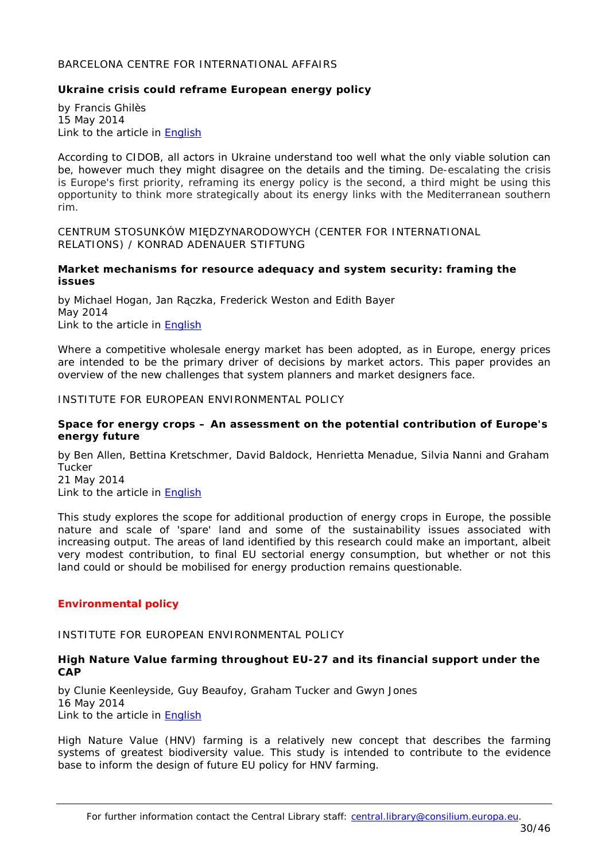### <span id="page-29-0"></span>BARCELONA CENTRE FOR INTERNATIONAL AFFAIRS

### <span id="page-29-1"></span>**Ukraine crisis could reframe European energy policy**

by Francis Ghilès 15 May 2014 Link to the article in [English](http://www.cidob.org/en/content/download/39294/606569/file/237_OPINIO_EUROPA_ANG%282%29.pdf)

According to CIDOB, all actors in Ukraine understand too well what the only viable solution can be, however much they might disagree on the details and the timing. De-escalating the crisis is Europe's first priority, reframing its energy policy is the second, a third might be using this opportunity to think more strategically about its energy links with the Mediterranean southern rim.

<span id="page-29-2"></span>CENTRUM STOSUNKÓW MIĘDZYNARODOWYCH (CENTER FOR INTERNATIONAL RELATIONS) / KONRAD ADENAUER STIFTUNG

#### <span id="page-29-3"></span>**Market mechanisms for resource adequacy and system security: framing the issues**

by Michael Hogan, Jan Rączka, Frederick Weston and Edith Bayer May 2014 Link to the article in [English](http://csm.org.pl/en/reports-and-analysis/category/53-2014?download=475:market-mechanisms-for-resource-adequacy)

Where a competitive wholesale energy market has been adopted, as in Europe, energy prices are intended to be the primary driver of decisions by market actors. This paper provides an overview of the new challenges that system planners and market designers face.

#### <span id="page-29-4"></span>INSTITUTE FOR EUROPEAN ENVIRONMENTAL POLICY

### <span id="page-29-5"></span>**Space for energy crops – An assessment on the potential contribution of Europe's energy future**

by Ben Allen, Bettina Kretschmer, David Baldock, Henrietta Menadue, Silvia Nanni and Graham Tucker 21 May 2014

Link to the article in [English](http://www.eeb.org/EEB/?LinkServID=F6E6DA60-5056-B741-DBD250D05D441B53)

This study explores the scope for additional production of energy crops in Europe, the possible nature and scale of 'spare' land and some of the sustainability issues associated with increasing output. The areas of land identified by this research could make an important, albeit very modest contribution, to final EU sectorial energy consumption, but whether or not this land could or should be mobilised for energy production remains questionable.

### <span id="page-29-6"></span>*Environmental policy*

<span id="page-29-7"></span>INSTITUTE FOR EUROPEAN ENVIRONMENTAL POLICY

### <span id="page-29-8"></span>**High Nature Value farming throughout EU-27 and its financial support under the CAP**

by Clunie Keenleyside, Guy Beaufoy, Graham Tucker and Gwyn Jones 16 May 2014 Link to the article in [English](http://www.ieep.eu/assets/1386/HNV_and_CAP_Full_Report.pdf)

High Nature Value (HNV) farming is a relatively new concept that describes the farming systems of greatest biodiversity value. This study is intended to contribute to the evidence base to inform the design of future EU policy for HNV farming.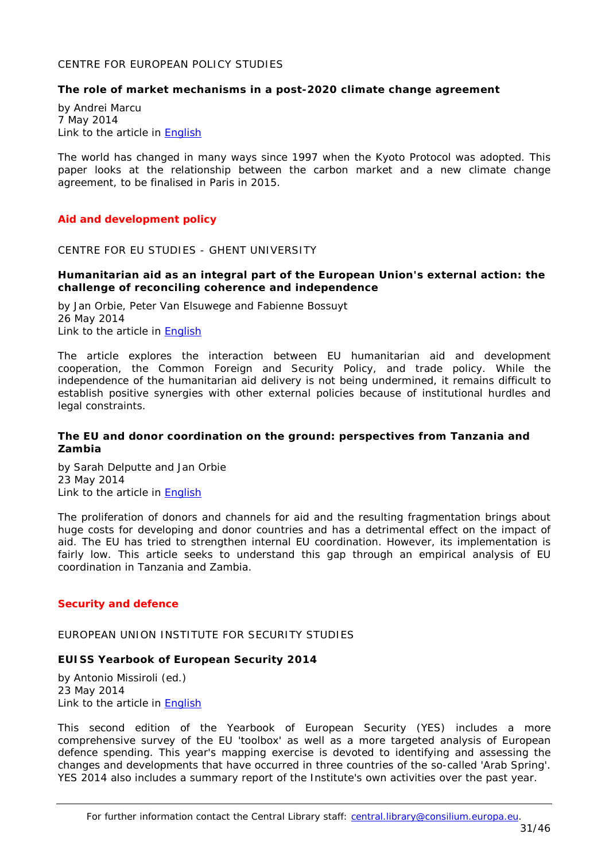### <span id="page-30-0"></span>CENTRE FOR EUROPEAN POLICY STUDIES

#### <span id="page-30-1"></span>**The role of market mechanisms in a post-2020 climate change agreement**

by Andrei Marcu 7 May 2014 Link to the article in [English](http://www.ceps.be/ceps/dld/9230/pdf)

The world has changed in many ways since 1997 when the Kyoto Protocol was adopted. This paper looks at the relationship between the carbon market and a new climate change agreement, to be finalised in Paris in 2015.

### <span id="page-30-2"></span>*Aid and development policy*

#### <span id="page-30-3"></span>CENTRE FOR EU STUDIES - GHENT UNIVERSITY

### <span id="page-30-4"></span>**Humanitarian aid as an integral part of the European Union's external action: the challenge of reconciling coherence and independence**

by Jan Orbie, Peter Van Elsuwege and Fabienne Bossuyt 26 May 2014 Link to the article in **English** 

The article explores the interaction between EU humanitarian aid and development cooperation, the Common Foreign and Security Policy, and trade policy. While the independence of the humanitarian aid delivery is not being undermined, it remains difficult to establish positive synergies with other external policies because of institutional hurdles and legal constraints.

### <span id="page-30-5"></span>**The EU and donor coordination on the ground: perspectives from Tanzania and Zambia**

by Sarah Delputte and Jan Orbie 23 May 2014 Link to the article in **English** 

The proliferation of donors and channels for aid and the resulting fragmentation brings about huge costs for developing and donor countries and has a detrimental effect on the impact of aid. The EU has tried to strengthen internal EU coordination. However, its implementation is fairly low. This article seeks to understand this gap through an empirical analysis of EU coordination in Tanzania and Zambia.

### <span id="page-30-6"></span>*Security and defence*

<span id="page-30-7"></span>EUROPEAN UNION INSTITUTE FOR SECURITY STUDIES

### <span id="page-30-8"></span>**EUISS Yearbook of European Security 2014**

by Antonio Missiroli (ed.) 23 May 2014 Link to the article in [English](http://www.iss.europa.eu/uploads/media/YES2014.pdf)

This second edition of the Yearbook of European Security (YES) includes a more comprehensive survey of the EU 'toolbox' as well as a more targeted analysis of European defence spending. This year's mapping exercise is devoted to identifying and assessing the changes and developments that have occurred in three countries of the so-called 'Arab Spring'. YES 2014 also includes a summary report of the Institute's own activities over the past year.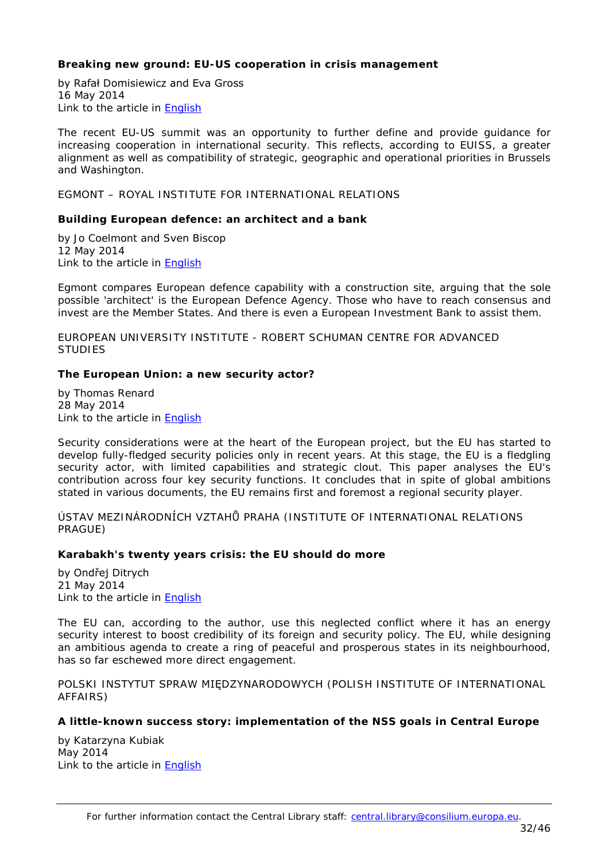# <span id="page-31-0"></span>**Breaking new ground: EU-US cooperation in crisis management**

by Rafał Domisiewicz and Eva Gross 16 May 2014 Link to the article in [English](http://www.iss.europa.eu/uploads/media/Brief_15_EU_US_cooperation_in_crisis_management.pdf)

The recent EU-US summit was an opportunity to further define and provide guidance for increasing cooperation in international security. This reflects, according to EUISS, a greater alignment as well as compatibility of strategic, geographic and operational priorities in Brussels and Washington.

<span id="page-31-1"></span>EGMONT – ROYAL INSTITUTE FOR INTERNATIONAL RELATIONS

# <span id="page-31-2"></span>**Building European defence: an architect and a bank**

by Jo Coelmont and Sven Biscop 12 May 2014 Link to the article in **English** 

Egmont compares European defence capability with a construction site, arguing that the sole possible 'architect' is the European Defence Agency. Those who have to reach consensus and invest are the Member States. And there is even a European Investment Bank to assist them.

<span id="page-31-3"></span>EUROPEAN UNIVERSITY INSTITUTE - ROBERT SCHUMAN CENTRE FOR ADVANCED STUDIES

# <span id="page-31-4"></span>**The European Union: a new security actor?**

by Thomas Renard 28 May 2014 Link to the article in [English](http://www.egmontinstitute.be/wp-content/uploads/2014/05/140501-T.Renard-RSCAS-2014_45.pdf)

Security considerations were at the heart of the European project, but the EU has started to develop fully-fledged security policies only in recent years. At this stage, the EU is a fledgling security actor, with limited capabilities and strategic clout. This paper analyses the EU's contribution across four key security functions. It concludes that in spite of global ambitions stated in various documents, the EU remains first and foremost a regional security player.

<span id="page-31-5"></span>ÚSTAV MEZINÁRODNÍCH VZTAHŮ PRAHA (INSTITUTE OF INTERNATIONAL RELATIONS PRAGUE)

### <span id="page-31-6"></span>**Karabakh's twenty years crisis: the EU should do more**

by Ondřej Ditrych 21 May 2014 Link to the article in [English](http://www.dokumenty-iir.cz/PolicyPapers/PP_Ditrych_Karabakh.pdf)

The EU can, according to the author, use this neglected conflict where it has an energy security interest to boost credibility of its foreign and security policy. The EU, while designing an ambitious agenda to create a ring of peaceful and prosperous states in its neighbourhood, has so far eschewed more direct engagement.

<span id="page-31-7"></span>POLSKI INSTYTUT SPRAW MIĘDZYNARODOWYCH (POLISH INSTITUTE OF INTERNATIONAL AFFAIRS)

# <span id="page-31-8"></span>**A little-known success story: implementation of the NSS goals in Central Europe**

by Katarzyna Kubiak May 2014 Link to the article in [English](http://www.pism.pl/files/?id_plik=17290)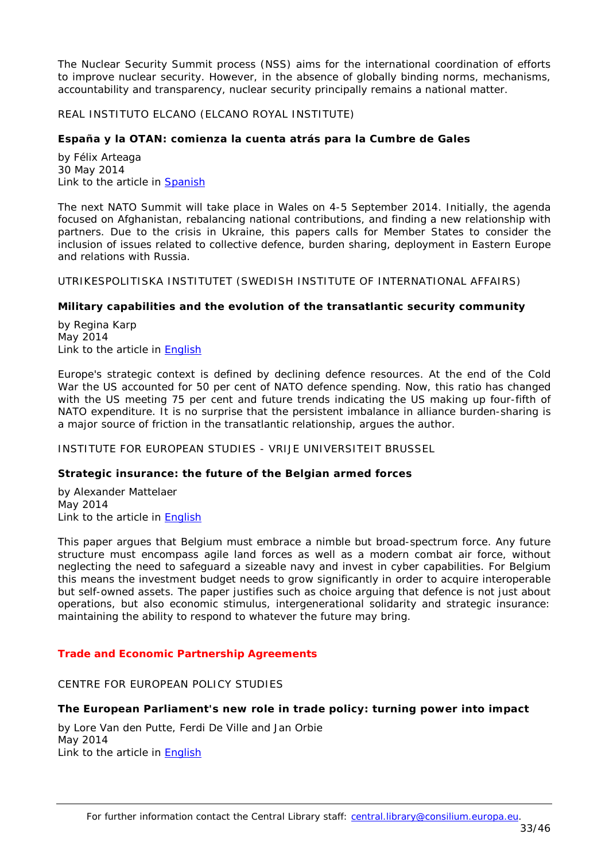The Nuclear Security Summit process (NSS) aims for the international coordination of efforts to improve nuclear security. However, in the absence of globally binding norms, mechanisms, accountability and transparency, nuclear security principally remains a national matter.

<span id="page-32-0"></span>REAL INSTITUTO ELCANO (ELCANO ROYAL INSTITUTE)

### <span id="page-32-1"></span>**España y la OTAN: comienza la cuenta atrás para la Cumbre de Gales**

by Félix Arteaga 30 May 2014 Link to the article in **Spanish** 

The next NATO Summit will take place in Wales on 4-5 September 2014. Initially, the agenda focused on Afghanistan, rebalancing national contributions, and finding a new relationship with partners. Due to the crisis in Ukraine, this papers calls for Member States to consider the inclusion of issues related to collective defence, burden sharing, deployment in Eastern Europe and relations with Russia.

<span id="page-32-2"></span>UTRIKESPOLITISKA INSTITUTET (SWEDISH INSTITUTE OF INTERNATIONAL AFFAIRS)

### <span id="page-32-3"></span>**Military capabilities and the evolution of the transatlantic security community**

by Regina Karp May 2014 Link to the article in [English](http://www.ui.se/eng/upl/files/103480.pdf)

Europe's strategic context is defined by declining defence resources. At the end of the Cold War the US accounted for 50 per cent of NATO defence spending. Now, this ratio has changed with the US meeting 75 per cent and future trends indicating the US making up four-fifth of NATO expenditure. It is no surprise that the persistent imbalance in alliance burden-sharing is a major source of friction in the transatlantic relationship, argues the author.

<span id="page-32-4"></span>INSTITUTE FOR EUROPEAN STUDIES - VRIJE UNIVERSITEIT BRUSSEL

### <span id="page-32-5"></span>**Strategic insurance: the future of the Belgian armed forces**

by Alexander Mattelaer May 2014 Link to the article in [English](http://www.ies.be/files/PB%202014:05%20Alexander%20M..pdf)

This paper argues that Belgium must embrace a nimble but broad-spectrum force. Any future structure must encompass agile land forces as well as a modern combat air force, without neglecting the need to safeguard a sizeable navy and invest in cyber capabilities. For Belgium this means the investment budget needs to grow significantly in order to acquire interoperable but self-owned assets. The paper justifies such as choice arguing that defence is not just about operations, but also economic stimulus, intergenerational solidarity and strategic insurance: maintaining the ability to respond to whatever the future may bring.

### <span id="page-32-6"></span>*Trade and Economic Partnership Agreements*

### <span id="page-32-7"></span>CENTRE FOR EUROPEAN POLICY STUDIES

### <span id="page-32-8"></span>**The European Parliament's new role in trade policy: turning power into impact**

by Lore Van den Putte, Ferdi De Ville and Jan Orbie May 2014 Link to the article in [English](http://www.ceps.be/ceps/dld/9282/pdf)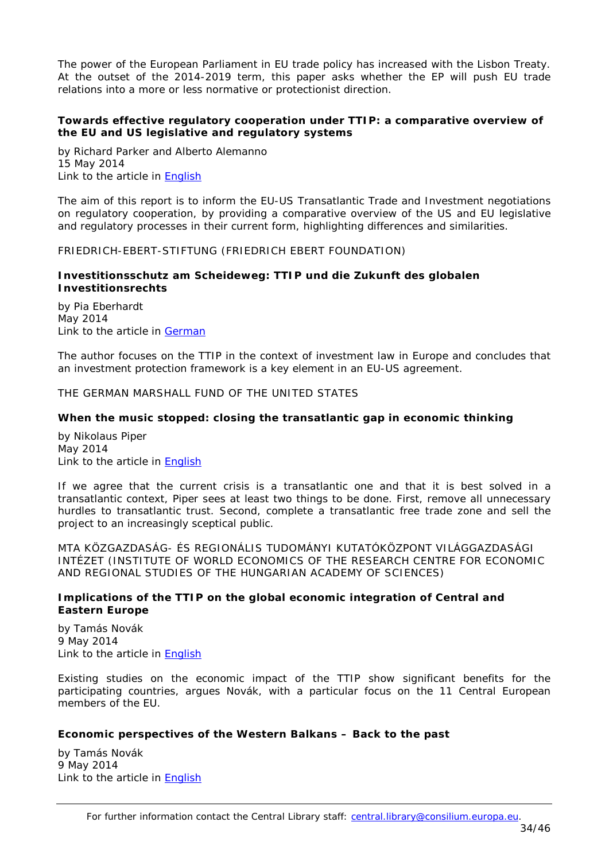The power of the European Parliament in EU trade policy has increased with the Lisbon Treaty. At the outset of the 2014-2019 term, this paper asks whether the EP will push EU trade relations into a more or less normative or protectionist direction.

# <span id="page-33-0"></span>**Towards effective regulatory cooperation under TTIP: a comparative overview of the EU and US legislative and regulatory systems**

by [Richard Parker](http://www.ceps.eu/author/richard-parker) and [Alberto Alemanno](http://www.ceps.eu/author/alberto-alemanno) 15 May 2014 Link to the article in [English](http://www.ceps.be/ceps/dld/9254/pdf)

The aim of this report is to inform the EU-US Transatlantic Trade and Investment negotiations on regulatory cooperation, by providing a comparative overview of the US and EU legislative and regulatory processes in their current form, highlighting differences and similarities.

<span id="page-33-1"></span>FRIEDRICH-EBERT-STIFTUNG (FRIEDRICH EBERT FOUNDATION)

### <span id="page-33-2"></span>**Investitionsschutz am Scheideweg: TTIP und die Zukunft des globalen Investitionsrechts**

by Pia Eberhardt May 2014 Link to the article in [German](http://library.fes.de/pdf-files/iez/global/10773-20140603.pdf)

The author focuses on the TTIP in the context of investment law in Europe and concludes that an investment protection framework is a key element in an EU-US agreement.

<span id="page-33-3"></span>THE GERMAN MARSHALL FUND OF THE UNITED STATES

# <span id="page-33-4"></span>**When the music stopped: closing the transatlantic gap in economic thinking**

by Nikolaus Piper May 2014 Link to the article in [English](http://www.gmfus.org/wp-content/blogs.dir/1/files_mf/1400774027Piper_WhenMusicStopped_May14.pdf)

If we agree that the current crisis is a transatlantic one and that it is best solved in a transatlantic context, Piper sees at least two things to be done. First, remove all unnecessary hurdles to transatlantic trust. Second, complete a transatlantic free trade zone and sell the project to an increasingly sceptical public.

<span id="page-33-5"></span>MTA KÖZGAZDASÁG- ÉS REGIONÁLIS TUDOMÁNYI KUTATÓKÖZPONT VILÁGGAZDASÁGI INTÉZET (INSTITUTE OF WORLD ECONOMICS OF THE RESEARCH CENTRE FOR ECONOMIC AND REGIONAL STUDIES OF THE HUNGARIAN ACADEMY OF SCIENCES)

# <span id="page-33-6"></span>**Implications of the TTIP on the global economic integration of Central and Eastern Europe**

by Tamás Novák 9 May 2014 Link to the article in **English** 

Existing studies on the economic impact of the TTIP show significant benefits for the participating countries, argues Novák, with a particular focus on the 11 Central European members of the EU.

### <span id="page-33-7"></span>**Economic perspectives of the Western Balkans – Back to the past**

by Tamás Novák 9 May 2014 Link to the article in [English](http://www.vki.hu/Kh-211)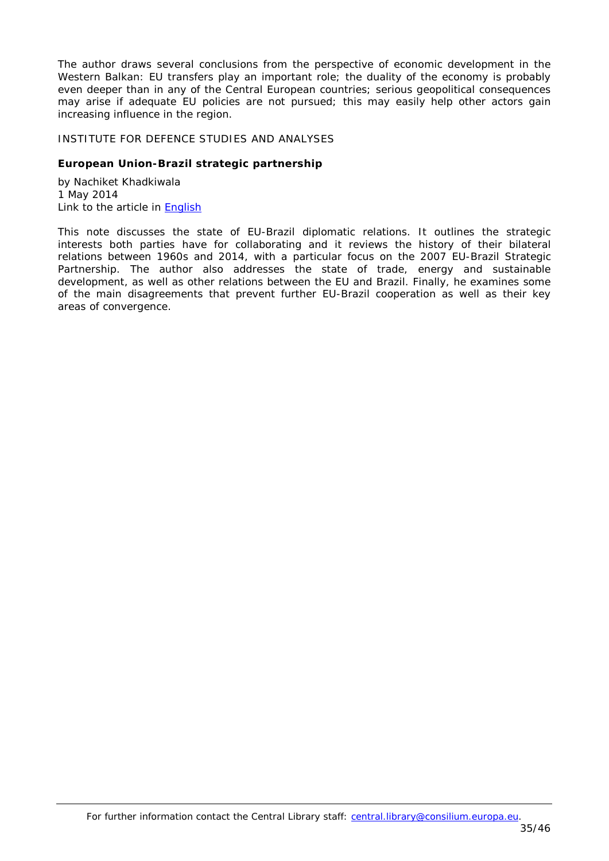The author draws several conclusions from the perspective of economic development in the Western Balkan: EU transfers play an important role; the duality of the economy is probably even deeper than in any of the Central European countries; serious geopolitical consequences may arise if adequate EU policies are not pursued; this may easily help other actors gain increasing influence in the region.

#### <span id="page-34-0"></span>INSTITUTE FOR DEFENCE STUDIES AND ANALYSES

### <span id="page-34-1"></span>**European Union-Brazil strategic partnership**

by Nachiket Khadkiwala 1 May 2014 Link to the article in [English](http://mercury.ethz.ch/serviceengine/Files/ISN/179946/ipublicationdocument_singledocument/58ba8409-9db9-4199-8be2-9c528cd548c5/en/BG-EUBrazilPartnership.pdf)

This note discusses the state of EU-Brazil diplomatic relations. It outlines the strategic interests both parties have for collaborating and it reviews the history of their bilateral relations between 1960s and 2014, with a particular focus on the 2007 EU-Brazil Strategic Partnership. The author also addresses the state of trade, energy and sustainable development, as well as other relations between the EU and Brazil. Finally, he examines some of the main disagreements that prevent further EU-Brazil cooperation as well as their key areas of convergence.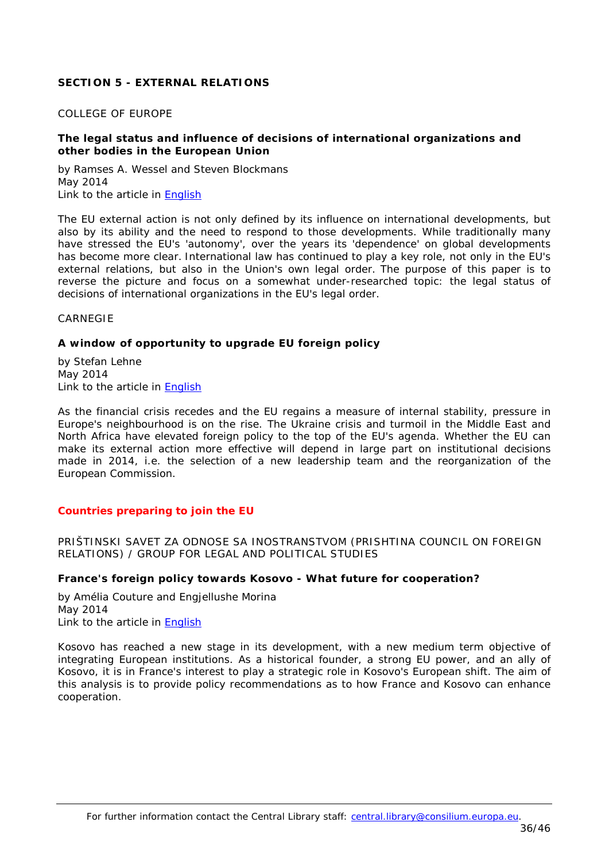# <span id="page-35-0"></span>**SECTION 5 - EXTERNAL RELATIONS**

### <span id="page-35-1"></span>COLLEGE OF EUROPE

### <span id="page-35-2"></span>**The legal status and influence of decisions of international organizations and other bodies in the European Union**

by Ramses A. Wessel and Steven Blockmans May 2014 Link to the article in **English** 

The EU external action is not only defined by its influence on international developments, but also by its ability and the need to respond to those developments. While traditionally many have stressed the EU's 'autonomy', over the years its 'dependence' on global developments has become more clear. International law has continued to play a key role, not only in the EU's external relations, but also in the Union's own legal order. The purpose of this paper is to reverse the picture and focus on a somewhat under-researched topic: the legal status of decisions of international organizations in the EU's legal order.

<span id="page-35-3"></span>CARNEGIE

# <span id="page-35-4"></span>**A window of opportunity to upgrade EU foreign policy**

by Stefan Lehne May 2014 Link to the article in [English](http://carnegieendowment.org/files/external_relations_paper.pdf)

As the financial crisis recedes and the EU regains a measure of internal stability, pressure in Europe's neighbourhood is on the rise. The Ukraine crisis and turmoil in the Middle East and North Africa have elevated foreign policy to the top of the EU's agenda. Whether the EU can make its external action more effective will depend in large part on institutional decisions made in 2014, i.e. the selection of a new leadership team and the reorganization of the European Commission.

### <span id="page-35-5"></span>*Countries preparing to join the EU*

<span id="page-35-6"></span>PRIŠTINSKI SAVET ZA ODNOSE SA INOSTRANSTVOM (PRISHTINA COUNCIL ON FOREIGN RELATIONS) / GROUP FOR LEGAL AND POLITICAL STUDIES

### <span id="page-35-7"></span>**France's foreign policy towards Kosovo - What future for cooperation?**

by Amélia Couture and Engjellushe Morina May 2014 Link to the article in [English](http://legalpoliticalstudies.org/download/Policy%20Report%2009%202014.pdf)

Kosovo has reached a new stage in its development, with a new medium term objective of integrating European institutions. As a historical founder, a strong EU power, and an ally of Kosovo, it is in France's interest to play a strategic role in Kosovo's European shift. The aim of this analysis is to provide policy recommendations as to how France and Kosovo can enhance cooperation.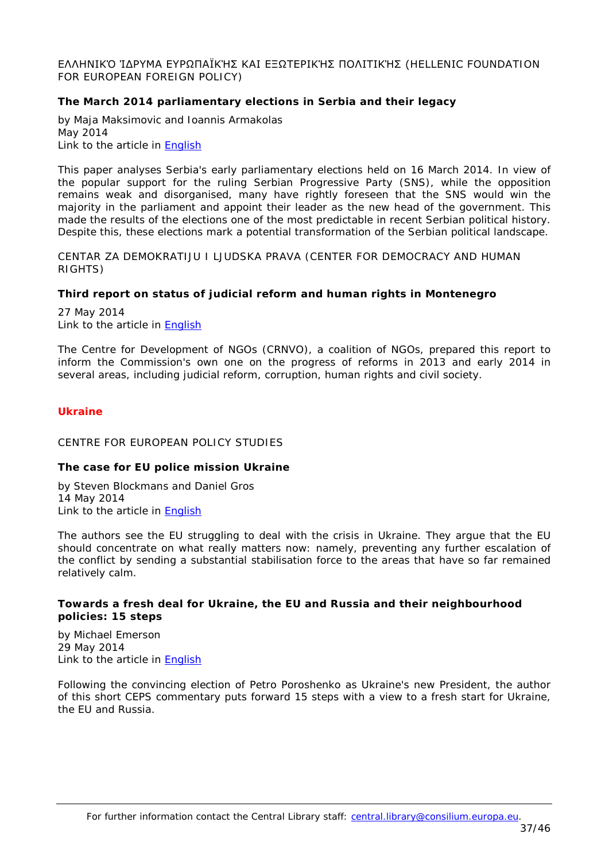### <span id="page-36-0"></span>ΕΛΛΗΝΙΚΌ ΊΔΡΥΜΑ ΕΥΡΩΠΑΪΚΉΣ ΚΑΙ ΕΞΩΤΕΡΙΚΉΣ ΠΟΛΙΤΙΚΉΣ (HELLENIC FOUNDATION FOR EUROPEAN FOREIGN POLICY)

# <span id="page-36-1"></span>**The March 2014 parliamentary elections in Serbia and their legacy**

by Maja Maksimovic and Ioannis Armakolas May 2014 Link to the article in **English** 

This paper analyses Serbia's early parliamentary elections held on 16 March 2014. In view of the popular support for the ruling Serbian Progressive Party (SNS), while the opposition remains weak and disorganised, many have rightly foreseen that the SNS would win the majority in the parliament and appoint their leader as the new head of the government. This made the results of the elections one of the most predictable in recent Serbian political history. Despite this, these elections mark a potential transformation of the Serbian political landscape.

<span id="page-36-2"></span>CENTAR ZA DEMOKRATIJU I LJUDSKA PRAVA (CENTER FOR DEMOCRACY AND HUMAN RIGHTS)

### <span id="page-36-3"></span>**Third report on status of judicial reform and human rights in Montenegro**

27 May 2014 Link to the article in [English](http://www.cedem.me/en/publications/finish/48-publikacije-eng/515-coalition-23-third-report-on-status-of-judicial-reform-and-human-rights.html)

The Centre for Development of NGOs (CRNVO), a coalition of NGOs, prepared this report to inform the Commission's own one on the progress of reforms in 2013 and early 2014 in several areas, including judicial reform, corruption, human rights and civil society.

### <span id="page-36-4"></span>*Ukraine*

#### <span id="page-36-5"></span>CENTRE FOR EUROPEAN POLICY STUDIES

### <span id="page-36-6"></span>**The case for EU police mission Ukraine**

by Steven Blockmans and Daniel Gros 14 May 2014 Link to the article in [English](http://www.ceps.be/ceps/dld/9248/pdf)

The authors see the EU struggling to deal with the crisis in Ukraine. They argue that the EU should concentrate on what really matters now: namely, preventing any further escalation of the conflict by sending a substantial stabilisation force to the areas that have so far remained relatively calm.

# <span id="page-36-7"></span>**Towards a fresh deal for Ukraine, the EU and Russia and their neighbourhood policies: 15 steps**

by [Michael Emerson](http://www.ceps.eu/author/michael-emerson) 29 May 2014 Link to the article in [English](http://www.ceps.be/ceps/dld/9333/pdf)

Following the convincing election of Petro Poroshenko as Ukraine's new President, the author of this short CEPS commentary puts forward 15 steps with a view to a fresh start for Ukraine, the EU and Russia.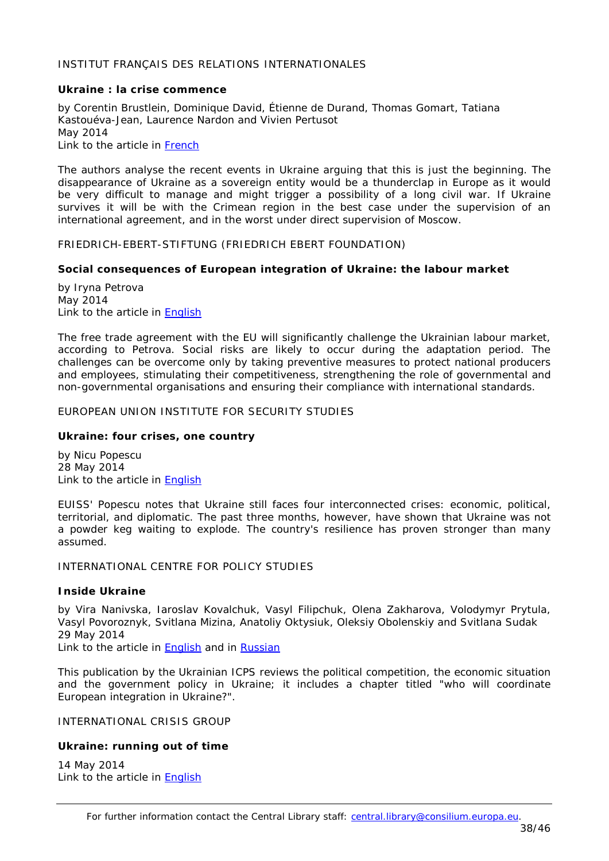### <span id="page-37-0"></span>INSTITUT FRANÇAIS DES RELATIONS INTERNATIONALES

### <span id="page-37-1"></span>**Ukraine : la crise commence**

by Corentin Brustlein, Dominique David, Étienne de Durand, Thomas Gomart, Tatiana Kastouéva-Jean, Laurence Nardon and Vivien Pertusot May 2014 Link to the article in [French](http://www.ifri.org/downloads/ifrinotedelifriukrainelacrisecommence22.pdf)

The authors analyse the recent events in Ukraine arguing that this is just the beginning. The disappearance of Ukraine as a sovereign entity would be a thunderclap in Europe as it would be very difficult to manage and might trigger a possibility of a long civil war. If Ukraine survives it will be with the Crimean region in the best case under the supervision of an international agreement, and in the worst under direct supervision of Moscow.

<span id="page-37-2"></span>FRIEDRICH-EBERT-STIFTUNG (FRIEDRICH EBERT FOUNDATION)

### <span id="page-37-3"></span>**Social consequences of European integration of Ukraine: the labour market**

by Iryna Petrova May 2014 Link to the article in [English](http://library.fes.de/pdf-files/bueros/ukraine/10770.pdf)

The free trade agreement with the EU will significantly challenge the Ukrainian labour market, according to Petrova. Social risks are likely to occur during the adaptation period. The challenges can be overcome only by taking preventive measures to protect national producers and employees, stimulating their competitiveness, strengthening the role of governmental and non-governmental organisations and ensuring their compliance with international standards.

# <span id="page-37-4"></span>EUROPEAN UNION INSTITUTE FOR SECURITY STUDIES

### <span id="page-37-5"></span>**Ukraine: four crises, one country**

by Nicu Popescu 28 May 2014 Link to the article in [English](http://www.iss.europa.eu/uploads/media/Brief_16_Ukraine_crisis.pdf)

EUISS' Popescu notes that Ukraine still faces four interconnected crises: economic, political, territorial, and diplomatic. The past three months, however, have shown that Ukraine was not a powder keg waiting to explode. The country's resilience has proven stronger than many assumed.

# <span id="page-37-6"></span>INTERNATIONAL CENTRE FOR POLICY STUDIES

### <span id="page-37-7"></span>**Inside Ukraine**

by Vira Nanivska, Iaroslav Kovalchuk, Vasyl Filipchuk, Olena Zakharova, Volodymyr Prytula, Vasyl Povoroznyk, Svitlana Mizina, Anatoliy Oktysiuk, Oleksiy Obolenskiy and Svitlana Sudak 29 May 2014

Link to the article in [English](http://icps.com.ua/pub/files/116/29/Inside%20Ukraine%20No.13_eng.pdf) and in [Russian](http://icps.com.ua/pub/files/116/29/Inside%20Ukraine%20№13_rus.pdf)

This publication by the Ukrainian ICPS reviews the political competition, the economic situation and the government policy in Ukraine; it includes a chapter titled "who will coordinate European integration in Ukraine?".

# <span id="page-37-8"></span>INTERNATIONAL CRISIS GROUP

# <span id="page-37-9"></span>**Ukraine: running out of time**

14 May 2014 Link to the article in [English](http://www.crisisgroup.org/~/media/Files/europe/ukraine/231-ukraine-running-out-of-time.pdf)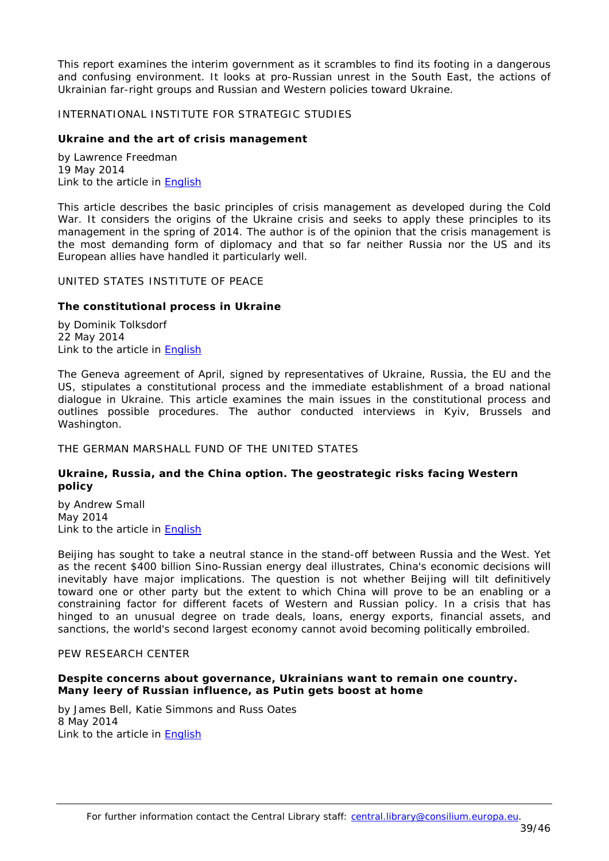This report examines the interim government as it scrambles to find its footing in a dangerous and confusing environment. It looks at pro-Russian unrest in the South East, the actions of Ukrainian far-right groups and Russian and Western policies toward Ukraine.

#### <span id="page-38-0"></span>INTERNATIONAL INSTITUTE FOR STRATEGIC STUDIES

### <span id="page-38-1"></span>**Ukraine and the art of crisis management**

by Lawrence Freedman 19 May 2014 Link to the article in **English** 

This article describes the basic principles of crisis management as developed during the Cold War. It considers the origins of the Ukraine crisis and seeks to apply these principles to its management in the spring of 2014. The author is of the opinion that the crisis management is the most demanding form of diplomacy and that so far neither Russia nor the US and its European allies have handled it particularly well.

#### <span id="page-38-2"></span>UNITED STATES INSTITUTE OF PEACE

### <span id="page-38-3"></span>**The constitutional process in Ukraine**

by Dominik Tolksdorf 22 May 2014 Link to the article in [English](http://mercury.ethz.ch/serviceengine/Files/ISN/180282/ipublicationdocument_singledocument/ce916846-57f1-451f-b5b2-91a36a45fae5/en/PB172-The+Constitutional+Process+in+Ukraine-Issues+in+Play.pdf)

The Geneva agreement of April, signed by representatives of Ukraine, Russia, the EU and the US, stipulates a constitutional process and the immediate establishment of a broad national dialogue in Ukraine. This article examines the main issues in the constitutional process and outlines possible procedures. The author conducted interviews in Kyiv, Brussels and Washington.

<span id="page-38-4"></span>THE GERMAN MARSHALL FUND OF THE UNITED STATES

### <span id="page-38-5"></span>**Ukraine, Russia, and the China option. The geostrategic risks facing Western policy**

by Andrew Small May 2014 Link to the article in **English** 

Beijing has sought to take a neutral stance in the stand-off between Russia and the West. Yet as the recent \$400 billion Sino-Russian energy deal illustrates, China's economic decisions will inevitably have major implications. The question is not whether Beijing will tilt definitively toward one or other party but the extent to which China will prove to be an enabling or a constraining factor for different facets of Western and Russian policy. In a crisis that has hinged to an unusual degree on trade deals, loans, energy exports, financial assets, and sanctions, the world's second largest economy cannot avoid becoming politically embroiled.

### <span id="page-38-6"></span>PEW RESEARCH CENTER

# <span id="page-38-7"></span>**Despite concerns about governance, Ukrainians want to remain one country. Many leery of Russian influence, as Putin gets boost at home**

by James Bell, Katie Simmons and Russ Oates 8 May 2014 Link to the article in [English](http://www.pewglobal.org/files/2014/05/Pew-Global-Attitudes-Ukraine-Russia-Report-FINAL-May-8-2014.pdf)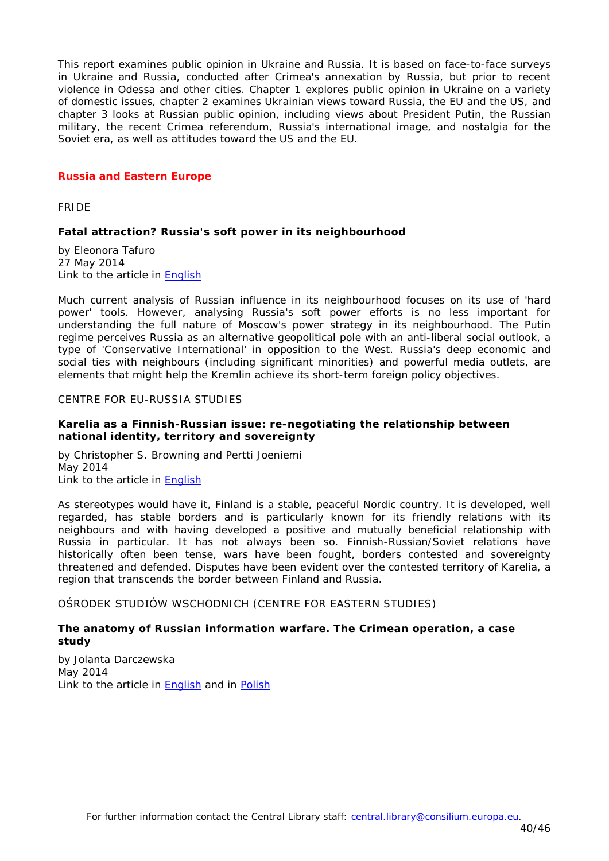This report examines public opinion in Ukraine and Russia. It is based on face-to-face surveys in Ukraine and Russia, conducted after Crimea's annexation by Russia, but prior to recent violence in Odessa and other cities. Chapter 1 explores public opinion in Ukraine on a variety of domestic issues, chapter 2 examines Ukrainian views toward Russia, the EU and the US, and chapter 3 looks at Russian public opinion, including views about President Putin, the Russian military, the recent Crimea referendum, Russia's international image, and nostalgia for the Soviet era, as well as attitudes toward the US and the EU.

# <span id="page-39-0"></span>*Russia and Eastern Europe*

<span id="page-39-1"></span>FRIDE

# <span id="page-39-2"></span>**Fatal attraction? Russia's soft power in its neighbourhood**

by Eleonora Tafuro 27 May 2014 Link to the article in [English](http://www.fride.org/download/PB_181_Russia_soft_power_in_its_neighbourhood.pdf)

Much current analysis of Russian influence in its neighbourhood focuses on its use of 'hard power' tools. However, analysing Russia's soft power efforts is no less important for understanding the full nature of Moscow's power strategy in its neighbourhood. The Putin regime perceives Russia as an alternative geopolitical pole with an anti-liberal social outlook, a type of 'Conservative International' in opposition to the West. Russia's deep economic and social ties with neighbours (including significant minorities) and powerful media outlets, are elements that might help the Kremlin achieve its short-term foreign policy objectives.

### <span id="page-39-3"></span>CENTRE FOR EU-RUSSIA STUDIES

### <span id="page-39-4"></span>**Karelia as a Finnish-Russian issue: re-negotiating the relationship between national identity, territory and sovereignty**

by Christopher S. Browning and Pertti Joeniemi May 2014 Link to the article in [English](http://ceurus.ut.ee/wp-content/uploads/2011/06/Browning-and-Joenniemi-2014.pdf)

As stereotypes would have it, Finland is a stable, peaceful Nordic country. It is developed, well regarded, has stable borders and is particularly known for its friendly relations with its neighbours and with having developed a positive and mutually beneficial relationship with Russia in particular. It has not always been so. Finnish-Russian/Soviet relations have historically often been tense, wars have been fought, borders contested and sovereignty threatened and defended. Disputes have been evident over the contested territory of Karelia, a region that transcends the border between Finland and Russia.

<span id="page-39-5"></span>OŚRODEK STUDIÓW WSCHODNICH (CENTRE FOR EASTERN STUDIES)

### <span id="page-39-6"></span>**The anatomy of Russian information warfare. The Crimean operation, a case study**

by Jolanta Darczewska May 2014 Link to the article in **English** and in **Polish**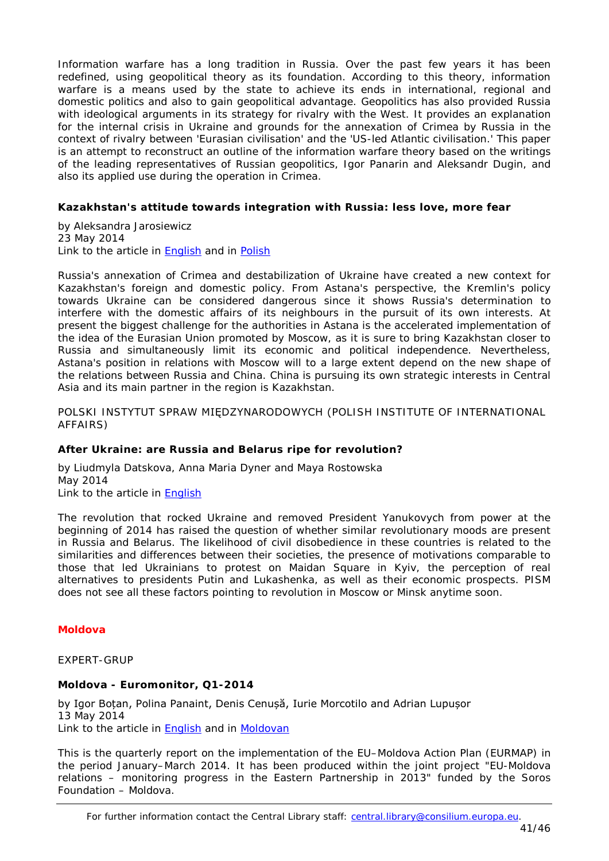Information warfare has a long tradition in Russia. Over the past few years it has been redefined, using geopolitical theory as its foundation. According to this theory, information warfare is a means used by the state to achieve its ends in international, regional and domestic politics and also to gain geopolitical advantage. Geopolitics has also provided Russia with ideological arguments in its strategy for rivalry with the West. It provides an explanation for the internal crisis in Ukraine and grounds for the annexation of Crimea by Russia in the context of rivalry between 'Eurasian civilisation' and the 'US-led Atlantic civilisation.' This paper is an attempt to reconstruct an outline of the information warfare theory based on the writings of the leading representatives of Russian geopolitics, Igor Panarin and Aleksandr Dugin, and also its applied use during the operation in Crimea.

# <span id="page-40-0"></span>**Kazakhstan's attitude towards integration with Russia: less love, more fear**

by Aleksandra Jarosiewicz 23 May 2014 Link to the article in **English** and in **Polish** 

Russia's annexation of Crimea and destabilization of Ukraine have created a new context for Kazakhstan's foreign and domestic policy. From Astana's perspective, the Kremlin's policy towards Ukraine can be considered dangerous since it shows Russia's determination to interfere with the domestic affairs of its neighbours in the pursuit of its own interests. At present the biggest challenge for the authorities in Astana is the accelerated implementation of the idea of the Eurasian Union promoted by Moscow, as it is sure to bring Kazakhstan closer to Russia and simultaneously limit its economic and political independence. Nevertheless, Astana's position in relations with Moscow will to a large extent depend on the new shape of the relations between Russia and China. China is pursuing its own strategic interests in Central Asia and its main partner in the region is Kazakhstan.

<span id="page-40-1"></span>POLSKI INSTYTUT SPRAW MIĘDZYNARODOWYCH (POLISH INSTITUTE OF INTERNATIONAL AFFAIRS)

### <span id="page-40-2"></span>**After Ukraine: are Russia and Belarus ripe for revolution?**

by Liudmyla Datskova, Anna Maria Dyner and Maya Rostowska May 2014 Link to the article in **English** 

The revolution that rocked Ukraine and removed President Yanukovych from power at the beginning of 2014 has raised the question of whether similar revolutionary moods are present in Russia and Belarus. The likelihood of civil disobedience in these countries is related to the similarities and differences between their societies, the presence of motivations comparable to those that led Ukrainians to protest on Maidan Square in Kyiv, the perception of real alternatives to presidents Putin and Lukashenka, as well as their economic prospects. PISM does not see all these factors pointing to revolution in Moscow or Minsk anytime soon.

### <span id="page-40-3"></span>*Moldova*

<span id="page-40-4"></span>EXPERT-GRUP

### <span id="page-40-5"></span>**Moldova - Euromonitor, Q1-2014**

by Igor Boțan, Polina Panaint, Denis Cenușă, Iurie Morcotilo and Adrian Lupușor 13 May 2014 Link to the article in [English](http://www.expert-grup.org/en/biblioteca/item/download/1174_9573338a7220468566717a12dfa7531f) and in [Moldovan](http://www.expert-grup.org/en/biblioteca/item/download/1165_2adde7f2c614f2924eaba20f42b1b5d6)

This is the quarterly report on the implementation of the EU–Moldova Action Plan (EURMAP) in the period January–March 2014. It has been produced within the joint project "EU-Moldova relations – monitoring progress in the Eastern Partnership in 2013" funded by the Soros Foundation – Moldova.

For further information contact the Central Library staff: central.library@consilium.europa.eu.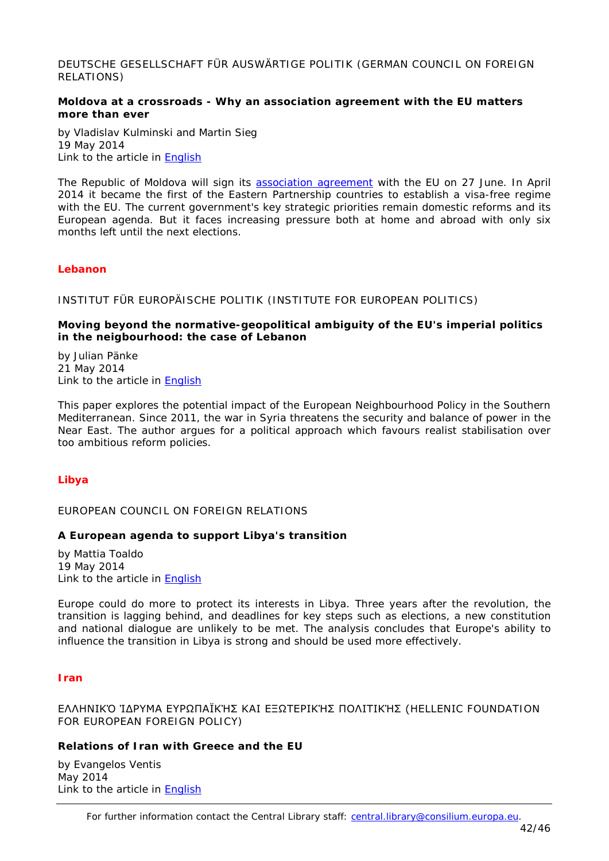<span id="page-41-0"></span>DEUTSCHE GESELLSCHAFT FÜR AUSWÄRTIGE POLITIK (GERMAN COUNCIL ON FOREIGN RELATIONS)

### <span id="page-41-1"></span>**Moldova at a crossroads - Why an association agreement with the EU matters more than ever**

by Vladislav Kulminski and Martin Sieg 19 May 2014 Link to the article in [English](https://dgap.org/en/article/getFullPDF/25417)

The Republic of Moldova will sign its [association agreement](http://www.consilium.europa.eu/uedocs/cms_data/docs/pressdata/EN/foraff/143205.pdf) with the EU on 27 June. In April 2014 it became the first of the Eastern Partnership countries to establish a visa-free regime with the EU. The current government's key strategic priorities remain domestic reforms and its European agenda. But it faces increasing pressure both at home and abroad with only six months left until the next elections.

### <span id="page-41-2"></span>*Lebanon*

<span id="page-41-3"></span>INSTITUT FÜR EUROPÄISCHE POLITIK (INSTITUTE FOR EUROPEAN POLITICS)

### <span id="page-41-4"></span>**Moving beyond the normative-geopolitical ambiguity of the EU's imperial politics in the neigbourhood: the case of Lebanon**

by Julian Pänke 21 May 2014 Link to the article in [English](http://www.iep-berlin.de/fileadmin/website/09_Publikationen/Sonstige/policy_paper_P%C3%A4nke_Mai14_final.pdf)

This paper explores the potential impact of the European Neighbourhood Policy in the Southern Mediterranean. Since 2011, the war in Syria threatens the security and balance of power in the Near East. The author argues for a political approach which favours realist stabilisation over too ambitious reform policies.

### <span id="page-41-5"></span>*Libya*

<span id="page-41-6"></span>EUROPEAN COUNCIL ON FOREIGN RELATIONS

### <span id="page-41-7"></span>**A European agenda to support Libya's transition**

by Mattia Toaldo 19 May 2014 Link to the article in [English](http://www.ecfr.eu/page/-/ECFR102_LIBYA_BRIEF_AW_(2).pdf)

Europe could do more to protect its interests in Libya. Three years after the revolution, the transition is lagging behind, and deadlines for key steps such as elections, a new constitution and national dialogue are unlikely to be met. The analysis concludes that Europe's ability to influence the transition in Libya is strong and should be used more effectively.

### <span id="page-41-8"></span>*Iran*

<span id="page-41-9"></span>ΕΛΛΗΝΙΚΌ ΊΔΡΥΜΑ ΕΥΡΩΠΑΪΚΉΣ ΚΑΙ ΕΞΩΤΕΡΙΚΉΣ ΠΟΛΙΤΙΚΉΣ (HELLENIC FOUNDATION FOR EUROPEAN FOREIGN POLICY)

### <span id="page-41-10"></span>**Relations of Iran with Greece and the EU**

by Evangelos Ventis May 2014 Link to the article in **English** 

For further information contact the Central Library staff: central.library@consilium.europa.eu.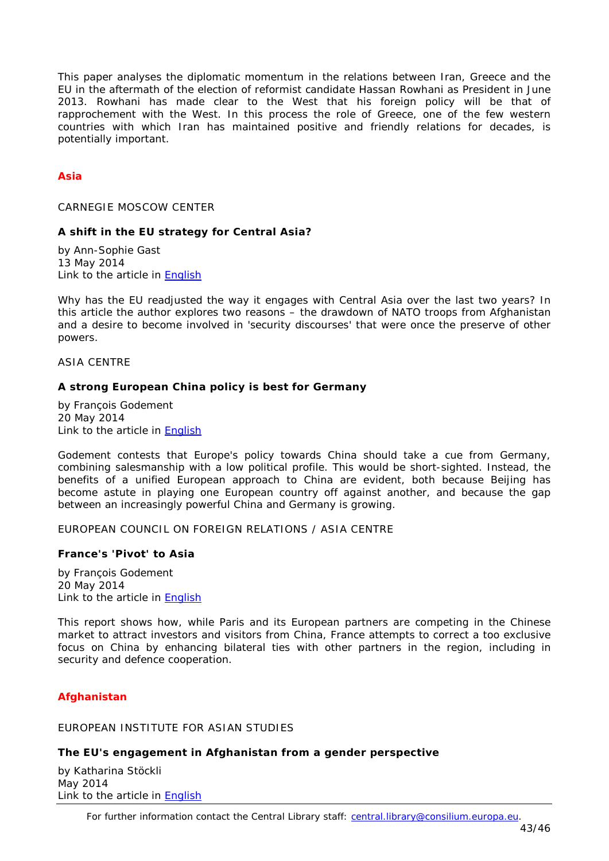This paper analyses the diplomatic momentum in the relations between Iran, Greece and the EU in the aftermath of the election of reformist candidate Hassan Rowhani as President in June 2013. Rowhani has made clear to the West that his foreign policy will be that of *rapprochement* with the West. In this process the role of Greece, one of the few western countries with which Iran has maintained positive and friendly relations for decades, is potentially important.

# <span id="page-42-0"></span>*Asia*

<span id="page-42-1"></span>CARNEGIE MOSCOW CENTER

### <span id="page-42-2"></span>**A shift in the EU strategy for Central Asia?**

by Ann-Sophie Gast 13 May 2014 Link to the article in [English](http://www.isn.ethz.ch/Digital-Library/Articles/Detail/?ots591=4888caa0-b3db-1461-98b9-e20e7b9c13d4&lng=en&id=179600)

Why has the EU readjusted the way it engages with Central Asia over the last two years? In this article the author explores two reasons – the drawdown of NATO troops from Afghanistan and a desire to become involved in 'security discourses' that were once the preserve of other powers.

<span id="page-42-3"></span>ASIA CENTRE

### <span id="page-42-4"></span>**A strong European China policy is best for Germany**

by François Godement 20 May 2014 Link to the article in [English](http://www.centreasia.eu/sites/default/files/publications_pdf/godement_a_strong_european_policy_is_best_for_germany_05-05-2014_0.pdf)

Godement contests that Europe's policy towards China should take a cue from Germany, combining salesmanship with a low political profile. This would be short-sighted. Instead, the benefits of a unified European approach to China are evident, both because Beijing has become astute in playing one European country off against another, and because the gap between an increasingly powerful China and Germany is growing.

<span id="page-42-5"></span>EUROPEAN COUNCIL ON FOREIGN RELATIONS / ASIA CENTRE

### <span id="page-42-6"></span>**France's 'Pivot' to Asia**

by François Godement 20 May 2014 Link to the article in [English](http://www.ecfr.eu/page/-/ECFR101_FRANCE_ASIA_BRIEF_AW_1.pdf)

This report shows how, while Paris and its European partners are competing in the Chinese market to attract investors and visitors from China, France attempts to correct a too exclusive focus on China by enhancing bilateral ties with other partners in the region, including in security and defence cooperation.

### <span id="page-42-7"></span>*Afghanistan*

# <span id="page-42-8"></span>EUROPEAN INSTITUTE FOR ASIAN STUDIES

### <span id="page-42-9"></span>**The EU's engagement in Afghanistan from a gender perspective**

by Katharina Stöckli May 2014 Link to the article in **English** 

For further information contact the Central Library staff: central.library@consilium.europa.eu.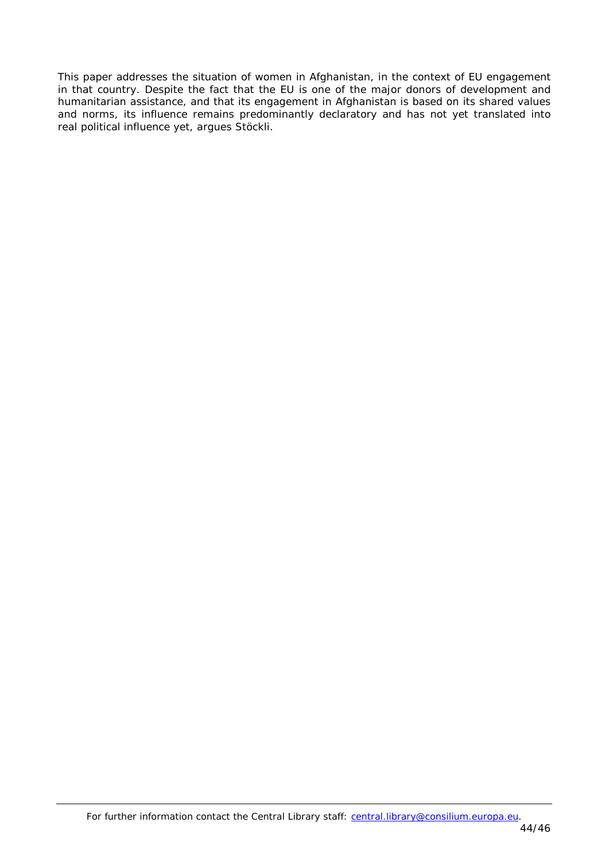This paper addresses the situation of women in Afghanistan, in the context of EU engagement in that country. Despite the fact that the EU is one of the major donors of development and humanitarian assistance, and that its engagement in Afghanistan is based on its shared values and norms, its influence remains predominantly declaratory and has not yet translated into real political influence yet, argues Stöckli.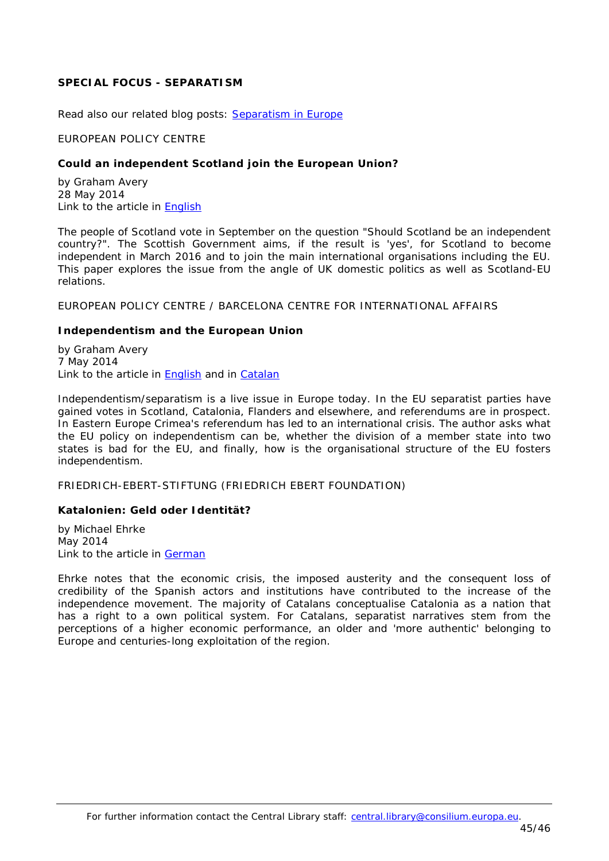# <span id="page-44-0"></span>**SPECIAL FOCUS - SEPARATISM**

<span id="page-44-1"></span>*Read also our related blog posts: [Separatism in Europe](http://councillibrary.wordpress.com/2014/04/08/separatism-in-europe-4-political-and-economic-implications/)*

#### EUROPEAN POLICY CENTRE

#### <span id="page-44-2"></span>**Could an independent Scotland join the European Union?**

by Graham Avery 28 May 2014 Link to the article in [English](http://www.epc.eu/documents/uploads/pub_4487_scotland_and_the_eu.pdf)

The people of Scotland vote in September on the question "Should Scotland be an independent country?". The Scottish Government aims, if the result is 'yes', for Scotland to become independent in March 2016 and to join the main international organisations including the EU. This paper explores the issue from the angle of UK domestic politics as well as Scotland-EU relations.

<span id="page-44-3"></span>EUROPEAN POLICY CENTRE / BARCELONA CENTRE FOR INTERNATIONAL AFFAIRS

#### <span id="page-44-4"></span>**Independentism and the European Union**

by Graham Avery 7 May 2014 Link to the article in **English** and in [Catalan](http://www.cidob.org/en/content/download/39188/605476/file/NOTES+88_AVERY_CAT.pdf)

Independentism/separatism is a live issue in Europe today. In the EU separatist parties have gained votes in Scotland, Catalonia, Flanders and elsewhere, and referendums are in prospect. In Eastern Europe Crimea's referendum has led to an international crisis. The author asks what the EU policy on independentism can be, whether the division of a member state into two states is bad for the EU, and finally, how is the organisational structure of the EU fosters independentism.

<span id="page-44-5"></span>FRIEDRICH-EBERT-STIFTUNG (FRIEDRICH EBERT FOUNDATION)

### <span id="page-44-6"></span>**Katalonien: Geld oder Identität?**

by Michael Ehrke May 2014 Link to the article in [German](http://library.fes.de/pdf-files/id/10769.pdf)

Ehrke notes that the economic crisis, the imposed austerity and the consequent loss of credibility of the Spanish actors and institutions have contributed to the increase of the independence movement. The majority of Catalans conceptualise Catalonia as a nation that has a right to a own political system. For Catalans, separatist narratives stem from the perceptions of a higher economic performance, an older and 'more authentic' belonging to Europe and centuries-long exploitation of the region.